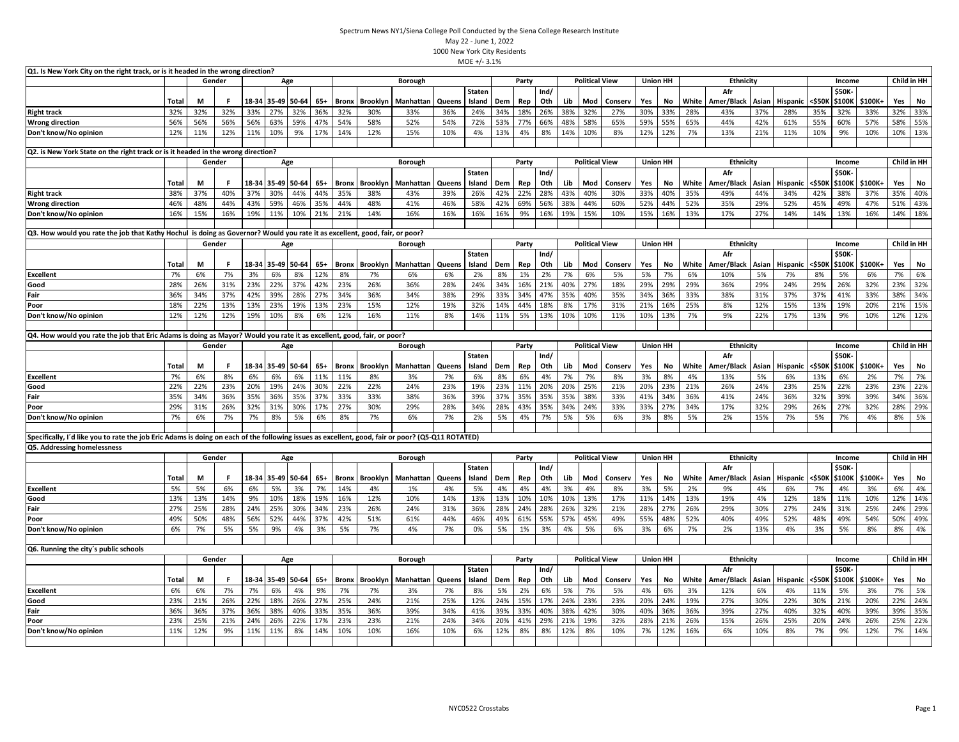| Q1. Is New York City on the right track, or is it headed in the wrong direction?                                                                  |              |        |        |     |             |                   |       |              |                 |                           |        |                         |     |       |             |     |                       |         |                 |                 |       |                   |       |                 |                  |                  |         |             |             |
|---------------------------------------------------------------------------------------------------------------------------------------------------|--------------|--------|--------|-----|-------------|-------------------|-------|--------------|-----------------|---------------------------|--------|-------------------------|-----|-------|-------------|-----|-----------------------|---------|-----------------|-----------------|-------|-------------------|-------|-----------------|------------------|------------------|---------|-------------|-------------|
|                                                                                                                                                   |              |        | Gender |     |             | Age               |       |              |                 | Borough                   |        |                         |     | Party |             |     | <b>Political View</b> |         |                 | <b>Union HH</b> |       | <b>Ethnicity</b>  |       |                 |                  | Income           |         |             | Child in HH |
|                                                                                                                                                   |              |        |        |     |             |                   |       |              |                 |                           |        | <b>Staten</b>           |     |       | Ind/        |     |                       |         |                 |                 |       | Afr               |       |                 |                  | \$50K            |         |             |             |
|                                                                                                                                                   | Total        | M      | .F     |     | 18-34 35-49 | 50-64             | $65+$ | <b>Bronx</b> | Brooklyn        | Manhattar                 | Queens | Island                  | Dem | Rep   | Oth         | Lib | Mod                   | Conserv | Yes             | No              | White | Amer/Black        | Asian | Hispanic        | <\$50K           | \$100K           | \$100K+ | Yes         | No          |
| <b>Right track</b>                                                                                                                                | 32%          | 32%    | 32%    | 33% | 27%         | 32%               | 36%   | 32%          | 30%             | 33%                       | 36%    | 24%                     | 34% | 18%   | 26%         | 38% | 32%                   | 27%     | 30%             | 33%             | 28%   | 43%               | 37%   | 28%             | 35%              | 32%              | 33%     | 32%         | 33%         |
| <b>Wrong direction</b>                                                                                                                            | 56%          | 56%    | 56%    | 56% | 63%         | 59%               | 47%   | 54%          | 58%             | 52%                       | 54%    | 72%                     | 53% | 77%   | 66%         | 48% | 58%                   | 65%     | 59%             | 55%             | 65%   | 44%               | 42%   | 61%             | 55%              | 60%              | 57%     | 58%         | 55%         |
| Don't know/No opinion                                                                                                                             | 12%          | 11%    | 12%    | 11% | 10%         | 9%                | 17%   | 14%          | 12%             | 15%                       | 10%    | 4%                      | 13% | 4%    | 8%          | 14% | 10%                   | 8%      | 12%             | 12%             | 7%    | 13%               | 21%   | 11%             | 10%              | 9%               | 10%     | 10%         | 13%         |
| Q2. is New York State on the right track or is it headed in the wrong direction?                                                                  |              |        |        |     |             |                   |       |              |                 |                           |        |                         |     |       |             |     |                       |         |                 |                 |       |                   |       |                 |                  |                  |         |             |             |
|                                                                                                                                                   |              | Gender |        |     |             | Age               |       |              |                 | Borough                   |        |                         |     | Party |             |     | <b>Political View</b> |         | <b>Union HH</b> |                 |       | <b>Ethnicity</b>  |       |                 |                  | Income           |         |             | Child in HH |
|                                                                                                                                                   |              |        |        |     |             |                   |       |              |                 |                           |        | <b>Staten</b>           |     |       | Ind/        |     |                       |         |                 |                 |       | Afr               |       |                 |                  | \$50K            |         |             |             |
|                                                                                                                                                   | <b>Total</b> | М      | F      |     | 18-34 35-49 | 50-64             | $65+$ | <b>Bronx</b> | <b>Brooklyn</b> | Manhattan                 | Queens | Island                  | Dem | Rep   | Oth         | Lib | Mod                   | Conserv | Yes             | No              | White | Amer/Black        | Asian | Hispanic        | <\$501           | \$100K           | \$100K+ | Yes         | No          |
| <b>Right track</b>                                                                                                                                | 38%          | 37%    | 40%    | 37% | 30%         | 44%               | 44%   | 35%          | 38%             | 43%                       | 39%    | 26%                     | 42% | 22%   | 28%         | 43% | 40%                   | 30%     | 33%             | 40%             | 35%   | 49%               | 44%   | 34%             | 42%              | 38%              | 37%     | 35%         | 40%         |
| <b>Wrong direction</b>                                                                                                                            | 46%          | 48%    | 44%    | 43% | 59%         | 46%               | 35%   | 44%          | 48%             | 41%                       | 46%    | 58%                     | 42% | 69%   | 56%         | 38% | 44%                   | 60%     | 52%             | 44%             | 52%   | 35%               | 29%   | 52%             | 45%              | 49%              | 47%     | 51%         | 43%         |
| Don't know/No opinion                                                                                                                             | 16%          | 15%    | 16%    | 19% | 11%         | 10%               | 21%   | 21%          | 14%             | 16%                       | 16%    | 16%                     | 16% | 9%    | 16%         | 19% | 15%                   | 10%     | 15%             | 16%             | 13%   | 17%               | 27%   | 14%             | 14%              | 13%              | 16%     | 14%         | 18%         |
|                                                                                                                                                   |              |        |        |     |             |                   |       |              |                 |                           |        |                         |     |       |             |     |                       |         |                 |                 |       |                   |       |                 |                  |                  |         |             |             |
| Q3. How would you rate the job that Kathy Hochul is doing as Governor? Would you rate it as excellent, good, fair, or poor?                       |              |        |        |     |             |                   |       |              |                 |                           |        |                         |     |       |             |     |                       |         |                 |                 |       |                   |       |                 |                  |                  |         |             |             |
|                                                                                                                                                   |              | Gender |        |     |             | Age               |       |              |                 | <b>Borough</b>            |        |                         |     | Party |             |     | <b>Political View</b> |         | <b>Union HH</b> |                 |       | <b>Ethnicity</b>  |       |                 |                  | Income           |         | Child in HH |             |
|                                                                                                                                                   | Total        | M      | F.     |     |             | 18-34 35-49 50-64 | $65+$ | <b>Bronx</b> |                 | <b>Brooklyn</b> Manhattan | Queens | Staten<br>Island        | Dem | Rep   | Ind/<br>Oth | Lib | Mod                   | Conserv | Yes             | No              | White | Afr<br>Amer/Black | Asian | <b>Hispanic</b> | <\$50K           | \$50K<br>\$100K  | \$100K+ | Yes         | No          |
| <b>Excellent</b>                                                                                                                                  | 7%           | 6%     | 7%     | 3%  | 6%          | 8%                | 12%   | 8%           | 7%              | 6%                        | 6%     | 2%                      | 8%  | 1%    | 2%          | 7%  | 6%                    | 5%      | 5%              | 7%              | 6%    | 10%               | 5%    | 7%              | 8%               | 5%               | 6%      | 7%          | 6%          |
| Good                                                                                                                                              | 28%          | 26%    | 31%    | 23% | 22%         | 37%               | 42%   | 23%          | 26%             | 36%                       | 28%    | 24%                     | 34% | 16%   | 21%         | 40% | 27%                   | 18%     | 29%             | 29%             | 29%   | 36%               | 29%   | 24%             | 29%              | 26%              | 32%     | 23%         | 32%         |
| Fair                                                                                                                                              | 36%          | 34%    | 37%    | 42% | 39%         | 28%               | 27%   | 34%          | 36%             | 34%                       | 38%    | 29%                     | 33% | 34%   | 47%         | 35% | 40%                   | 35%     | 34%             | 36%             | 33%   | 38%               | 31%   | 37%             | 37%              | 41%              | 33%     | 38%         | 34%         |
| Poor                                                                                                                                              | 18%          | 22%    | 13%    | 13% | 23%         | 19%               | 13%   | 23%          | 15%             | 12%                       | 19%    | 32%                     | 14% | 44%   | 18%         | 8%  | 17%                   | 31%     | 21%             | 16%             | 25%   | 8%                | 12%   | 15%             | 13%              | 19%              | 20%     | 21%         | 15%         |
| Don't know/No opinion                                                                                                                             | 12%          | 12%    | 12%    | 19% | 10%         | 8%                | 6%    | 12%          | 16%             | 11%                       | 8%     | 14%                     | 11% | 5%    | 13%         | 10% | 10%                   | 11%     | 10%             | 13%             | 7%    | 9%                | 22%   | 17%             | 13%              | 9%               | 10%     | 12%         | 12%         |
| Q4. How would you rate the job that Eric Adams is doing as Mayor? Would you rate it as excellent, good, fair, or poor?                            |              |        |        |     |             |                   |       |              |                 |                           |        |                         |     |       |             |     |                       |         |                 |                 |       |                   |       |                 |                  |                  |         |             |             |
|                                                                                                                                                   |              |        | Gender |     |             | Age               |       |              |                 | Borough                   |        |                         |     | Party |             |     | <b>Political View</b> |         | <b>Union HH</b> |                 |       | <b>Ethnicity</b>  |       |                 |                  | Income           |         | Child in HH |             |
|                                                                                                                                                   |              |        |        |     |             |                   |       |              |                 |                           |        | <b>Staten</b>           |     |       | Ind/        |     |                       |         |                 |                 |       | Afr               |       |                 |                  | \$50K            |         |             |             |
|                                                                                                                                                   | Total        | M      | F      |     |             | 18-34 35-49 50-64 | $65+$ | <b>Bronx</b> | Brooklyn        | Manhattan                 | Queens | Island                  | Dem | Rep   | Oth         | Lib | Mod                   | Conserv | Yes             | No              | White | Amer/Black        | Asian | <b>Hispanic</b> | <\$50K           | \$100K           | \$100K+ | Yes         | No          |
| <b>Excellent</b>                                                                                                                                  | 7%           | 6%     | 8%     | 6%  | 6%          | 6%                | 11%   | 11%          | 8%              | 3%                        | 7%     | 6%                      | 8%  | 6%    | 4%          | 7%  | 7%                    | 8%      | 3%              | 8%              | 4%    | 13%               | 5%    | 6%              | 13%              | 6%               | 2%      | 7%          | 7%          |
| Good                                                                                                                                              | 22%          | 22%    | 23%    | 20% | 19%         | 24%               | 30%   | 22%          | 22%             | 24%                       | 23%    | 19%                     | 23% | 11%   | 20%         | 20% | 25%                   | 21%     | 20%             | 23%             | 21%   | 26%               | 24%   | 23%             | 25%              | 22%              | 23%     | 23%         | 22%         |
| Fair                                                                                                                                              | 35%          | 34%    | 36%    | 35% | 36%         | 35%               | 37%   | 33%          | 33%             | 38%                       | 36%    | 39%                     | 37% | 35%   | 35%         | 35% | 38%                   | 33%     | 41%             | 34%             | 36%   | 41%               | 24%   | 36%             | 32%              | 39%              | 39%     | 34%         | 36%         |
| Poor                                                                                                                                              | 29%          | 31%    | 26%    | 32% | 31%         | 30%               | 17%   | 27%          | 30%             | 29%                       | 28%    | 34%                     | 28% | 43%   | 35%         | 34% | 24%                   | 33%     | 33%             | 27%             | 34%   | 17%               | 32%   | 29%             | 26%              | 27%              | 32%     | 28%         | 29%         |
| Don't know/No opinion                                                                                                                             | 7%           | 6%     | 7%     | 7%  | 8%          | 5%                | 6%    | 8%           | 7%              | 6%                        | 7%     | 2%                      | 5%  | 4%    | 7%          | 5%  | 5%                    | 6%      | 3%              | 8%              | 5%    | 2%                | 15%   | 7%              | 5%               | 7%               | 4%      | 8%          | 5%          |
|                                                                                                                                                   |              |        |        |     |             |                   |       |              |                 |                           |        |                         |     |       |             |     |                       |         |                 |                 |       |                   |       |                 |                  |                  |         |             |             |
| Specifically, I'd like you to rate the job Eric Adams is doing on each of the following issues as excellent, good, fair or poor? (Q5-Q11 ROTATED) |              |        |        |     |             |                   |       |              |                 |                           |        |                         |     |       |             |     |                       |         |                 |                 |       |                   |       |                 |                  |                  |         |             |             |
| Q5. Addressing homelessness                                                                                                                       |              |        |        |     |             |                   |       |              |                 |                           |        |                         |     |       |             |     |                       |         |                 |                 |       |                   |       |                 |                  |                  |         |             |             |
|                                                                                                                                                   |              |        | Gender |     |             | Age               |       |              |                 | Borough                   |        | <b>Staten</b>           |     | Party |             |     | <b>Political View</b> |         |                 | <b>Union HH</b> |       | Ethnicity<br>Afr  |       |                 |                  | Income<br>\$50K- |         |             | Child in HH |
|                                                                                                                                                   | Total        | M      | F      |     |             | 18-34 35-49 50-64 | 65+   | Bronx        |                 | <b>Brooklyn</b> Manhattan | Queens | Island                  | Dem | Rep   | Ind/<br>Oth | Lib | Mod                   | Conserv | Yes             | No              | White | Amer/Black        | Asian | Hispanic        | <b>&lt;\$50K</b> | \$100K           | \$100K+ | Yes         | No          |
| <b>Excellent</b>                                                                                                                                  | 5%           | 5%     | 6%     | 6%  | 5%          | 3%                | 7%    | 14%          | 4%              | 1%                        | 4%     | 5%                      | 4%  | 4%    | 4%          | 3%  | 4%                    | 8%      | 3%              | 5%              | 2%    | 9%                | 4%    | 6%              | 7%               | 4%               | 3%      | 6%          | 4%          |
| Good                                                                                                                                              | 13%          | 13%    | 14%    | 9%  | 10%         | 18%               | 19%   | 16%          | 12%             | 10%                       | 14%    | 13%                     | 13% | 10%   | 10%         | 10% | 13%                   | 17%     | 11%             | 14%             | 13%   | 19%               | 4%    | 12%             | 18%              | 11%              | 10%     | 12%         | 14%         |
| Fair                                                                                                                                              | 27%          | 25%    | 28%    | 24% | 25%         | 30%               | 34%   | 23%          | 26%             | 24%                       | 31%    | 36%                     | 28% | 24%   | 28%         | 26% | 32%                   | 21%     | 28%             | 27%             | 26%   | 29%               | 30%   | 27%             | 24%              | 31%              | 25%     | 24%         | 29%         |
| Poor                                                                                                                                              | 49%          | 50%    | 48%    | 56% | 52%         | 44%               | 37%   | 42%          | 51%             | 61%                       | 44%    | 46%                     | 49% | 61%   | 55%         | 57% | 45%                   | 49%     | 55%             | 48%             | 52%   | 40%               | 49%   | 52%             | 48%              | 49%              | 54%     | 50%         | 49%         |
| Don't know/No opinion                                                                                                                             | 6%           | 7%     | 5%     | 5%  | 9%          | 4%                | 3%    | 5%           | 7%              | 4%                        | 7%     | 0%                      | 5%  | 1%    | 3%          | 4%  | 5%                    | 6%      | 3%              | 6%              | 7%    | 2%                | 13%   | 4%              | 3%               | 5%               | 8%      | 8%          | 4%          |
|                                                                                                                                                   |              |        |        |     |             |                   |       |              |                 |                           |        |                         |     |       |             |     |                       |         |                 |                 |       |                   |       |                 |                  |                  |         |             |             |
| Q6. Running the city's public schools                                                                                                             |              |        |        |     |             |                   |       |              |                 |                           |        |                         |     |       |             |     |                       |         |                 |                 |       |                   |       |                 |                  |                  |         |             |             |
|                                                                                                                                                   |              |        | Gender |     |             | Age               |       |              |                 | Borough                   |        |                         |     | Party |             |     | <b>Political View</b> |         |                 | <b>Union HH</b> |       | <b>Ethnicity</b>  |       |                 |                  | Income           |         |             | Child in HH |
|                                                                                                                                                   | Total        | M      | F      |     |             | 18-34 35-49 50-64 | 65+   | <b>Bronx</b> | Brooklyn        | Manhattan                 | Queens | <b>Staten</b><br>Island | Dem | Rep   | Ind/<br>Oth | Lib | Mod                   | Conserv | Yes             | No              | White | Afr<br>Amer/Black | Asian | <b>Hispanic</b> | <\$50K           | \$50K<br>\$100K  | \$100K+ | Yes         | No          |
| <b>Excellent</b>                                                                                                                                  | 6%           | 6%     | 7%     | 7%  | 6%          | 4%                | 9%    | 7%           | 7%              | 3%                        | 7%     | 8%                      | 5%  | 2%    | 6%          | 5%  | 7%                    | 5%      | 4%              | 6%              | 3%    | 12%               | 6%    | 4%              | 11%              | 5%               | 3%      | 7%          | 5%          |
| Good                                                                                                                                              | 23%          | 21%    | 26%    | 22% | 18%         | 26%               | 27%   | 25%          | 24%             | 21%                       | 25%    | 12%                     | 24% | 15%   | 17%         | 24% | 23%                   | 23%     | 20%             | 24%             | 19%   | 27%               | 30%   | 22%             | 30%              | 21%              | 20%     | 22%         | 24%         |
| Fair                                                                                                                                              | 36%          | 36%    | 37%    | 36% | 38%         | 40%               | 33%   | 35%          | 36%             | 39%                       | 34%    | 41%                     | 39% | 33%   | 40%         | 38% | 42%                   | 30%     | 40%             | 36%             | 36%   | 39%               | 27%   | 40%             | 32%              | 40%              | 39%     | 39%         | 35%         |
| Poor                                                                                                                                              | 23%          | 25%    | 21%    | 24% | 26%         | 22%               | 17%   | 23%          | 23%             | 21%                       | 24%    | 34%                     | 20% | 41%   | 29%         | 21% | 19%                   | 32%     | 28%             | 21%             | 26%   | 15%               | 26%   | 25%             | 20%              | 24%              | 26%     | 25%         | 22%         |
| Don't know/No opinion                                                                                                                             | 11%          | 12%    | 9%     | 11% | 11%         | 8%                | 14%   | 10%          | 10%             | 16%                       | 10%    | 6%                      | 12% | 8%    | 8%          | 12% | 8%                    | 10%     | 7%              | 12%             | 16%   | 6%                | 10%   | 8%              | 7%               | 9%               | 12%     | 7%          | 14%         |
|                                                                                                                                                   |              |        |        |     |             |                   |       |              |                 |                           |        |                         |     |       |             |     |                       |         |                 |                 |       |                   |       |                 |                  |                  |         |             |             |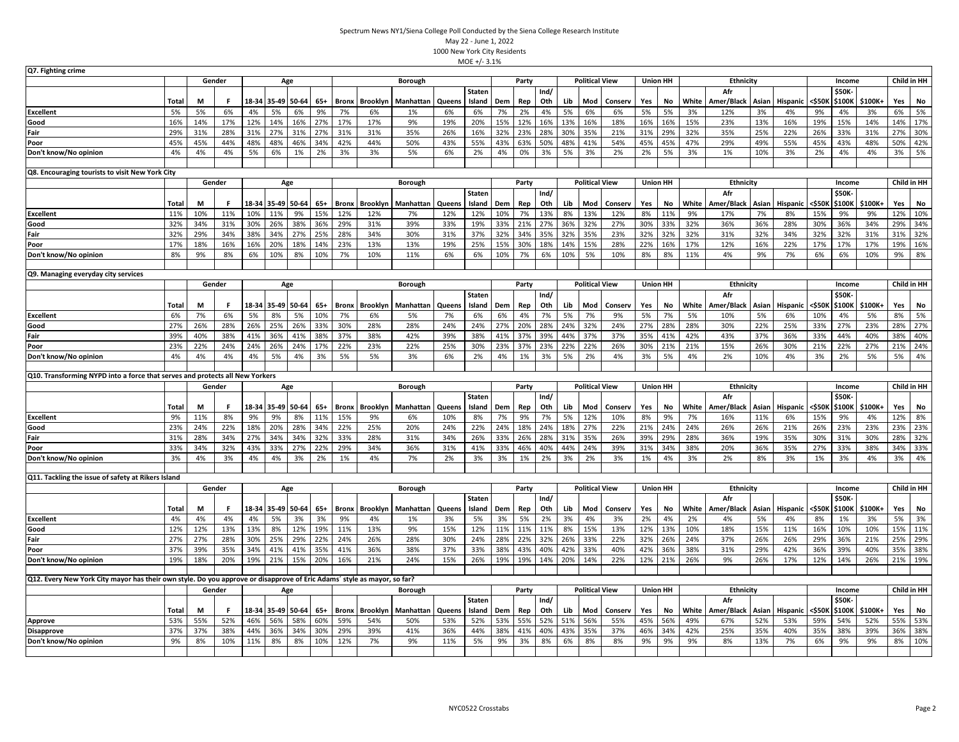| Q7. Fighting crime                                                                                                      |              |     |        |       |                   |             |       |              |                 |                |        |               |     |       |      |     |                       |         |                 |                 |       |                  |       |          |        |        |                |     |             |
|-------------------------------------------------------------------------------------------------------------------------|--------------|-----|--------|-------|-------------------|-------------|-------|--------------|-----------------|----------------|--------|---------------|-----|-------|------|-----|-----------------------|---------|-----------------|-----------------|-------|------------------|-------|----------|--------|--------|----------------|-----|-------------|
|                                                                                                                         |              |     | Gender |       |                   | Age         |       |              |                 | Borough        |        |               |     | Party |      |     | <b>Political View</b> |         | <b>Union HH</b> |                 |       | Ethnicity        |       |          |        | Income |                |     | Child in HH |
|                                                                                                                         |              |     |        |       |                   |             |       |              |                 |                |        | <b>Staten</b> |     |       | Ind/ |     |                       |         |                 |                 |       | Afr              |       |          |        | \$50K  |                |     |             |
|                                                                                                                         | <b>Total</b> | М   | F      | 18-34 |                   | 35-49 50-64 | $65+$ | Bronx        | <b>Brooklyn</b> | Manhattan      | Queens | Island        | Dem | Rep   | Oth  | Lib | Mod                   | Conserv | Yes             | No              | White | Amer/Black       | Asian | Hispanic | <\$50K | \$100K | \$100K+        | Yes | No          |
| <b>Excellent</b>                                                                                                        | 5%           | 5%  | 6%     | 4%    | 5%                | 6%          | 9%    | 7%           | 6%              | 1%             | 6%     | 6%            | 7%  | 2%    | 4%   | 5%  | 6%                    | 6%      | 5%              | 5%              | 3%    | 12%              | 3%    | 4%       | 9%     | 4%     | 3%             | 6%  | 5%          |
| Good                                                                                                                    | 16%          | 14% | 17%    | 12%   | 14%               | 16%         | 27%   | 17%          | 17%             | 9%             | 19%    | 20%           | 15% | 12%   | 16%  | 13% | 16%                   | 18%     | 16%             | 16%             | 15%   | 23%              | 13%   | 16%      | 19%    | 15%    | 14%            | 14% | 17%         |
| Fair                                                                                                                    | 29%          | 31% | 28%    | 31%   | 27%               | 31%         | 27%   | 31%          | 31%             | 35%            | 26%    | 16%           | 32% | 23%   | 28%  | 30% | 35%                   | 21%     | 31%             | 29%             | 32%   | 35%              | 25%   | 22%      | 26%    | 33%    | 31%            | 27% | 30%         |
| Poor                                                                                                                    | 45%          | 45% | 44%    | 48%   | 48%               | 46%         | 34%   | 42%          | 44%             | 50%            | 43%    | 55%           | 43% | 63%   | 50%  | 48% | 41%                   | 54%     | 45%             | 45%             | 47%   | 29%              | 49%   | 55%      | 45%    | 43%    | 48%            | 50% | 42%         |
| Don't know/No opinion                                                                                                   | 4%           | 4%  | 4%     | 5%    | 6%                | 1%          | 2%    | 3%           | 3%              | 5%             | 6%     | 2%            | 4%  | 0%    | 3%   | 5%  | 3%                    | 2%      | 2%              | 5%              | 3%    | 1%               | 10%   | 3%       | 2%     | 4%     | 4%             | 3%  | 5%          |
| Q8. Encouraging tourists to visit New York City                                                                         |              |     |        |       |                   |             |       |              |                 |                |        |               |     |       |      |     |                       |         |                 |                 |       |                  |       |          |        |        |                |     |             |
|                                                                                                                         |              |     | Gender |       |                   | Age         |       |              |                 | Borough        |        |               |     | Party |      |     | <b>Political View</b> |         |                 | <b>Union HH</b> |       | <b>Ethnicity</b> |       |          |        | Income |                |     | Child in HH |
|                                                                                                                         |              |     |        |       |                   |             |       |              |                 |                |        | <b>Staten</b> |     |       | Ind/ |     |                       |         |                 |                 |       | Afr              |       |          |        | \$50K  |                |     |             |
|                                                                                                                         | Total        | М   | F.     |       | 18-34 35-49 50-64 |             | $65+$ | <b>Bronx</b> | <b>Brooklyn</b> | Manhattan      | Queens | Island        | Dem | Rep   | Oth  | Lib | Mod                   | Conserv | Yes             | No              | White | Amer/Black       | Asian | Hispanic | <\$50K | \$100K | \$100K+        | Yes | No          |
| <b>Excellent</b>                                                                                                        | 11%          | 10% | 11%    | 10%   | 11%               | 9%          | 15%   | 12%          | 12%             | 7%             | 12%    | 12%           | 10% | 7%    | 13%  | 8%  | 13%                   | 12%     | 8%              | 11%             | 9%    | 17%              | 7%    | 8%       | 15%    | 9%     | 9%             | 12% | 10%         |
| Good                                                                                                                    | 32%          | 34% | 31%    | 30%   | 26%               | 38%         | 36%   | 29%          | 31%             | 39%            | 33%    | 19%           | 33% | 21%   | 27%  | 36% | 32%                   | 27%     | 30%             | 33%             | 32%   | 36%              | 36%   | 28%      | 30%    | 36%    | 34%            | 29% | 34%         |
| Fair                                                                                                                    | 32%          | 29% | 34%    | 38%   | 34%               | 27%         | 25%   | 28%          | 34%             | 30%            | 31%    | 37%           | 32% | 34%   | 35%  | 32% | 35%                   | 23%     | 32%             | 32%             | 32%   | 31%              | 32%   | 34%      | 32%    | 32%    | 31%            | 31% | 32%         |
| Poor                                                                                                                    | 17%          | 18% | 16%    | 16%   | 20%               | 18%         | 14%   | 23%          | 13%             | 13%            | 19%    | 25%           | 15% | 30%   | 18%  | 14% | 15%                   | 28%     | 22%             | 16%             | 17%   | 12%              | 16%   | 22%      | 17%    | 17%    | 17%            | 19% | 16%         |
| Don't know/No opinion                                                                                                   | 8%           | 9%  | 8%     | 6%    | 10%               | 8%          | 10%   | 7%           | 10%             | 11%            | 6%     | 6%            | 10% | 7%    | 6%   | 10% | 5%                    | 10%     | 8%              | 8%              | 11%   | 4%               | 9%    | 7%       | 6%     | 6%     | 10%            | 9%  | 8%          |
|                                                                                                                         |              |     |        |       |                   |             |       |              |                 |                |        |               |     |       |      |     |                       |         |                 |                 |       |                  |       |          |        |        |                |     |             |
| Q9. Managing everyday city services                                                                                     |              |     |        |       |                   |             |       |              |                 |                |        |               |     |       |      |     |                       |         |                 |                 |       |                  |       |          |        |        |                |     |             |
|                                                                                                                         |              |     | Gender |       |                   | Age         |       |              |                 | Borough        |        |               |     | Party |      |     | <b>Political View</b> |         |                 | <b>Union HH</b> |       | <b>Ethnicity</b> |       |          |        | Income |                |     | Child in HH |
|                                                                                                                         |              |     |        |       |                   |             |       |              |                 |                |        | <b>Staten</b> |     |       | Ind/ |     |                       |         |                 |                 |       | Afr              |       |          |        | \$50K  |                |     |             |
|                                                                                                                         | <b>Total</b> | М   |        |       | 18-34 35-49 50-64 |             | $65+$ | Bronx        | Brooklyn        | Manhattan      | Queens | Island        | Dem | Rep   | Oth  | Lib | Mod                   | Conserv | Yes             | No              | White | Amer/Black       | Asian | Hispanic | <\$50K | \$100K | \$100K+        | Yes | No          |
| <b>Excellent</b>                                                                                                        | 6%           | 7%  | 6%     | 5%    | 8%                | 5%          | 10%   | 7%           | 6%              | 5%             | 7%     | 6%            | 6%  | 4%    | 7%   | 5%  | 7%                    | 9%      | 5%              | 7%              | 5%    | 10%              | 5%    | 6%       | 10%    | 4%     | 5%             | 8%  | 5%          |
| Good                                                                                                                    | 27%          | 26% | 28%    | 26%   | 25%               | 26%         | 33%   | 30%          | 28%             | 28%            | 24%    | 24%           | 27% | 20%   | 28%  | 24% | 32%                   | 24%     | 27%             | 28%             | 28%   | 30%              | 22%   | 25%      | 33%    | 27%    | 23%            | 28% | 27%         |
| Fair                                                                                                                    | 39%          | 40% | 38%    | 41%   | 36%               | 41%         | 38%   | 37%          | 38%             | 42%            | 39%    | 38%           | 41% | 37%   | 39%  | 44% | 37%                   | 37%     | 35%             | 41%             | 42%   | 43%              | 37%   | 36%      | 33%    | 44%    | 40%            | 38% | 40%         |
| Poor                                                                                                                    | 23%          | 22% | 24%    | 24%   | 26%               | 24%         | 17%   | 22%          | 23%             | 22%            | 25%    | 30%           | 23% | 37%   | 23%  | 22% | 22%                   | 26%     | 30%             | 21%             | 21%   | 15%              | 26%   | 30%      | 21%    | 22%    | 27%            | 21% | 24%         |
| Don't know/No opinion                                                                                                   | 4%           | 4%  | 4%     | 4%    | 5%                | 4%          | 3%    | 5%           | 5%              | 3%             | 6%     | 2%            | 4%  | 1%    | 3%   | 5%  | 2%                    | 4%      | 3%              | 5%              | 4%    | 2%               | 10%   | 4%       | 3%     | 2%     | 5%             | 5%  | 4%          |
|                                                                                                                         |              |     |        |       |                   |             |       |              |                 |                |        |               |     |       |      |     |                       |         |                 |                 |       |                  |       |          |        |        |                |     |             |
| Q10. Transforming NYPD into a force that serves and protects all New Yorkers                                            |              |     |        |       |                   |             |       |              |                 |                |        |               |     |       |      |     |                       |         |                 |                 |       |                  |       |          |        |        |                |     |             |
|                                                                                                                         |              |     | Gender |       |                   | Age         |       |              |                 | Borough        |        |               |     | Party |      |     | <b>Political View</b> |         |                 | <b>Union HH</b> |       | <b>Ethnicity</b> |       |          |        | Income |                |     | Child in HH |
|                                                                                                                         |              |     |        |       |                   |             |       |              |                 |                |        | <b>Staten</b> |     |       | Ind/ |     |                       |         |                 |                 |       | Afr              |       |          |        | \$50K  |                |     |             |
|                                                                                                                         | Total        | М   |        |       | 18-34 35-49 50-64 |             | 65+   | <b>Bronx</b> | Brooklyn        | Manhattan      | Queens | Island        | Dem | Rep   | Oth  | Lib | Mod                   | Conserv | Yes             | No              | White | Amer/Black       | Asian | Hispanic | <\$50K |        | \$100K \$100K+ | Yes | No          |
| <b>Excellent</b>                                                                                                        | 9%           | 11% | 8%     | 9%    | 9%                | 8%          | 11%   | 15%          | 9%              | 6%             | 10%    | 8%            | 7%  | 9%    | 7%   | 5%  | 12%                   | 10%     | 8%              | 9%              | 7%    | 16%              | 11%   | 6%       | 15%    | 9%     | 4%             | 12% | 8%          |
| Good                                                                                                                    | 23%          | 24% | 22%    | 18%   | 20%               | 28%         | 34%   | 22%          | 25%             | 20%            | 24%    | 22%           | 24% | 18%   | 24%  | 18% | 27%                   | 22%     | 21%             | 24%             | 24%   | 26%              | 26%   | 21%      | 26%    | 23%    | 23%            | 23% | 23%         |
| Fair                                                                                                                    | 31%          | 28% | 34%    | 27%   | 34%               | 34%         | 32%   | 33%          | 28%             | 31%            | 34%    | 26%           | 33% | 26%   | 28%  | 31% | 35%                   | 26%     | 39%             | 29%             | 28%   | 36%              | 19%   | 35%      | 30%    | 31%    | 30%            | 28% | 32%         |
| Poor                                                                                                                    | 33%          | 34% | 32%    | 43%   | 33%               | 27%         | 22%   | 29%          | 34%             | 36%            | 31%    | 41%           | 33% | 46%   | 40%  | 44% | 24%                   | 39%     | 31%             | 34%             | 38%   | 20%              | 36%   | 35%      | 27%    | 33%    | 38%            | 34% | 33%         |
| Don't know/No opinion                                                                                                   | 3%           | 4%  | 3%     | 4%    | 4%                | 3%          | 2%    | 1%           | 4%              | 7%             | 2%     | 3%            | 3%  | 1%    | 2%   | 3%  | 2%                    | 3%      | 1%              | 4%              | 3%    | 2%               | 8%    | 3%       | 1%     | 3%     | 4%             | 3%  | 4%          |
| Q11. Tackling the issue of safety at Rikers Island                                                                      |              |     |        |       |                   |             |       |              |                 |                |        |               |     |       |      |     |                       |         |                 |                 |       |                  |       |          |        |        |                |     |             |
|                                                                                                                         |              |     | Gender |       |                   | Age         |       |              |                 | Borough        |        |               |     | Party |      |     | <b>Political View</b> |         |                 | <b>Union HH</b> |       | Ethnicity        |       |          |        | Income |                |     | Child in HH |
|                                                                                                                         |              |     |        |       |                   |             |       |              |                 |                |        | <b>Staten</b> |     |       | Ind/ |     |                       |         |                 |                 |       | Afr              |       |          |        | \$50K  |                |     |             |
|                                                                                                                         | <b>Total</b> | M   | F      | 18-34 |                   | 35-49 50-64 | $65+$ | <b>Bronx</b> | Brooklyn        | Manhattan      | Queens | Island        | Dem | Rep   | Oth  | Lib | Mod                   | Conserv | Yes             | No              | White | Amer/Black       | Asian | Hispanic | <\$50K | \$100K | \$100K+        | Yes | No          |
| <b>Excellent</b>                                                                                                        | 4%           | 4%  | 4%     | 4%    | 5%                | 3%          | 3%    | 9%           | 4%              | 1%             | 3%     | 5%            | 3%  | 5%    | 2%   | 3%  | 4%                    | 3%      | 2%              | 4%              | 2%    | 4%               | 5%    | 4%       | 8%     | 1%     | 3%             | 5%  | 3%          |
| Good                                                                                                                    | 12%          | 12% | 13%    | 13%   | 8%                | 12%         | 19%   | 11%          | 13%             | 9%             | 15%    | 12%           | 11% | 11%   | 11%  | 8%  | 15%                   | 13%     | 12%             | 13%             | 10%   | 18%              | 15%   | 11%      | 16%    | 10%    | 10%            | 15% | 11%         |
| Fair                                                                                                                    | 27%          | 27% | 28%    | 30%   | 25%               | 29%         | 22%   | 24%          | 26%             | 28%            | 30%    | 24%           | 28% | 22%   | 32%  | 26% | 33%                   | 22%     | 32%             | 26%             | 24%   | 37%              | 26%   | 26%      | 29%    | 36%    | 21%            | 25% | 29%         |
| Poor                                                                                                                    | 37%          | 39% | 35%    | 34%   | 41%               | 41%         | 35%   | 41%          | 36%             | 38%            | 37%    | 33%           | 38% | 43%   | 40%  | 42% | 33%                   | 40%     | 42%             | 36%             | 38%   | 31%              | 29%   | 42%      | 36%    | 39%    | 40%            | 35% | 38%         |
| Don't know/No opinion                                                                                                   | 19%          | 18% | 20%    | 19%   | 21%               | 15%         | 20%   | 16%          | 21%             | 24%            | 15%    | 26%           | 19% | 19%   | 14%  | 20% | 14%                   | 22%     | 12%             | 21%             | 26%   | 9%               | 26%   | 17%      | 12%    | 14%    | 26%            | 21% | 19%         |
|                                                                                                                         |              |     |        |       |                   |             |       |              |                 |                |        |               |     |       |      |     |                       |         |                 |                 |       |                  |       |          |        |        |                |     |             |
| Q12. Every New York City mayor has their own style. Do you approve or disapprove of Eric Adams' style as mayor, so far? |              |     |        |       |                   |             |       |              |                 |                |        |               |     |       |      |     |                       |         |                 |                 |       |                  |       |          |        |        |                |     |             |
|                                                                                                                         |              |     | Gender |       |                   | Age         |       |              |                 | <b>Borough</b> |        |               |     | Party |      |     | <b>Political View</b> |         |                 | <b>Union HH</b> |       | Ethnicity        |       |          |        | Income |                |     | Child in HH |
|                                                                                                                         |              |     |        |       |                   |             |       |              |                 |                |        | <b>Staten</b> |     |       | Ind/ |     |                       |         |                 |                 |       | Afr              |       |          |        | \$50K- |                |     |             |
|                                                                                                                         | Total        | М   |        | 18-34 |                   | 35-49 50-64 | $65+$ | <b>Bronx</b> | Brooklyn        | Manhattan      | Queens | Island        | Dem | Rep   | Oth  | Lib | Mod                   | Conserv | Yes             | No              | White | Amer/Black       | Asian | Hispanic | <\$50K | \$100K | \$100K+        | Yes | No          |
| <b>Approve</b>                                                                                                          | 53%          | 55% | 52%    | 46%   | 56%               | 58%         | 60%   | 59%          | 54%             | 50%            | 53%    | 52%           | 53% | 55%   | 52%  | 51% | 56%                   | 55%     | 45%             | 56%             | 49%   | 67%              | 52%   | 53%      | 59%    | 54%    | 52%            | 55% | 53%         |
| <b>Disapprove</b>                                                                                                       | 37%          | 37% | 38%    | 44%   | 36%               | 34%         | 30%   | 29%          | 39%             | 41%            | 36%    | 44%           | 38% | 41%   | 40%  | 43% | 35%                   | 37%     | 46%             | 34%             | 42%   | 25%              | 35%   | 40%      | 35%    | 38%    | 39%            | 36% | 38%         |
| Don't know/No opinion                                                                                                   | 9%           | 8%  | 10%    | 11%   | 8%                | 8%          | 10%   | 12%          | 7%              | 9%             | 11%    | 5%            | 9%  | 3%    | 8%   | 6%  | 8%                    | 8%      | 9%              | 9%              | 9%    | 8%               | 13%   | 7%       | 6%     | 9%     | 9%             | 8%  | 10%         |
|                                                                                                                         |              |     |        |       |                   |             |       |              |                 |                |        |               |     |       |      |     |                       |         |                 |                 |       |                  |       |          |        |        |                |     |             |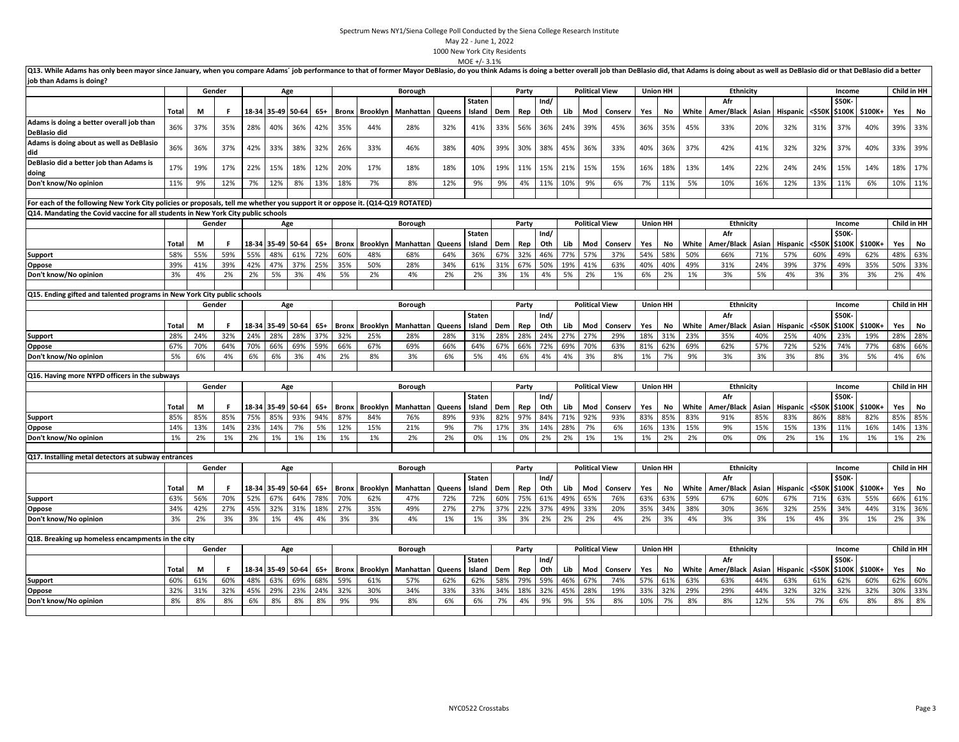|                                                                                                                                                                                                                                                            |            |            |            |       |                   |             |            |              |                 |                |            | $MOE +/- 3.1%$          |            |            |             |            |                       |            |            |                 |            |                         |            |                |            |                        |            |            |             |
|------------------------------------------------------------------------------------------------------------------------------------------------------------------------------------------------------------------------------------------------------------|------------|------------|------------|-------|-------------------|-------------|------------|--------------|-----------------|----------------|------------|-------------------------|------------|------------|-------------|------------|-----------------------|------------|------------|-----------------|------------|-------------------------|------------|----------------|------------|------------------------|------------|------------|-------------|
| Q13. While Adams has only been mayor since January, when you compare Adams' job performance to that of former Mayor DeBlasio, do you think Adams is doing a better overall job than DeBlasio did, that Adams is doing about as<br>job than Adams is doing? |            |            |            |       |                   |             |            |              |                 |                |            |                         |            |            |             |            |                       |            |            |                 |            |                         |            |                |            |                        |            |            |             |
|                                                                                                                                                                                                                                                            |            |            | Gender     |       |                   | Age         |            |              |                 | <b>Borough</b> |            |                         |            | Party      |             |            | <b>Political View</b> |            |            | <b>Union HH</b> |            | <b>Ethnicity</b>        |            |                |            | Income                 |            |            | Child in HH |
|                                                                                                                                                                                                                                                            | Total      | M          |            |       | 18-34 35-49 50-64 |             | 65+        | Bronx        | <b>Brooklyn</b> | Manhattan      | Queens     | <b>Staten</b><br>Island | Dem        | Rep        | Ind/<br>Oth | Lib        | Mod                   | Conserv    | Yes        | No              | White      | Afr<br>Amer/Black Asian |            | Hispanic       | <\$50к     | \$50K<br>\$100K        | \$100K+    | Yes        | No          |
| Adams is doing a better overall job than<br>DeBlasio did                                                                                                                                                                                                   | 36%        | 37%        | 35%        | 28%   | 40%               | 36%         | 42%        | 35%          | 44%             | 28%            | 32%        | 41%                     | 33%        | 56%        | 36%         | 24%        | 39%                   | 45%        | 36%        | 35%             | 45%        | 33%                     | 20%        | 32%            | 31%        | 37%                    | 40%        | 39%        | 33%         |
| Adams is doing about as well as DeBlasio<br>did                                                                                                                                                                                                            | 36%        | 36%        | 37%        | 42%   | 33%               | 38%         | 32%        | 26%          | 33%             | 46%            | 38%        | 40%                     | 39%        | 30%        | 38%         | 45%        | 36%                   | 33%        | 40%        | 36%             | 37%        | 42%                     | 41%        | 32%            | 32%        | 37%                    | 40%        | 33%        | 39%         |
| DeBlasio did a better job than Adams is<br>doing                                                                                                                                                                                                           | 17%        | 19%        | 17%        | 22%   | 15%               | 18%         | 12%        | 20%          | 17%             | 18%            | 18%        | 10%                     | 19%        | 11%        | 15%         | 21%        | 15%                   | 15%        | 16%        | 18%             | 13%        | 14%                     | 22%        | 24%            | 24%        | 15%                    | 14%        | 18%        | 17%         |
| Don't know/No opinion                                                                                                                                                                                                                                      | 11%        | 9%         | 12%        | 7%    | 12%               | 8%          | 13%        | 18%          | 7%              | 8%             | 12%        | 9%                      | 9%         | 4%         | 11%         | 10%        | 9%                    | 6%         | 7%         | 11%             | 5%         | 10%                     | 16%        | 12%            | 13%        | 11%                    | 6%         |            | 10% 11%     |
| For each of the following New York City policies or proposals, tell me whether you support it or oppose it. (Q14-Q19 ROTATED)                                                                                                                              |            |            |            |       |                   |             |            |              |                 |                |            |                         |            |            |             |            |                       |            |            |                 |            |                         |            |                |            |                        |            |            |             |
| Q14. Mandating the Covid vaccine for all students in New York City public schools                                                                                                                                                                          |            |            |            |       |                   |             |            |              |                 |                |            |                         |            |            |             |            |                       |            |            |                 |            |                         |            |                |            |                        |            |            |             |
|                                                                                                                                                                                                                                                            |            |            | Gender     |       | Age               |             |            |              |                 | Borough        |            |                         |            | Party      |             |            | <b>Political View</b> |            |            | <b>Union HH</b> |            | <b>Ethnicity</b>        |            |                |            | Income                 |            |            | Child in HH |
|                                                                                                                                                                                                                                                            |            |            |            |       |                   |             |            |              |                 |                |            | <b>Staten</b>           |            |            | Ind/        |            |                       |            |            |                 |            | Afr                     |            |                |            | \$50K                  |            |            |             |
|                                                                                                                                                                                                                                                            | Total      | М          |            |       | 18-34 35-49 50-64 |             | 65+        | Bronx        | <b>Brooklyn</b> | Manhattan      | Queens     | Island                  | Dem        | Rep        | Oth         | Lib        | Mod                   | Conserv    | Yes        | No              | White      | Amer/Black Asian        |            | Hispanic       | <\$50k     | \$100K                 | \$100K+    | Yes        | No          |
| <b>Support</b>                                                                                                                                                                                                                                             | 58%        | 55%        | 59%        | 55%   | 48%               | 61%         | 72%        | 60%          | 48%             | 68%            | 64%        | 36%                     | 67%        | 32%        | 46%         | 77%        | 57%                   | 37%        | 54%        | 58%             | 50%        | 66%                     | 71%        | 57%            | 60%        | 49%                    | 62%        | 48%        | 63%         |
| Oppose                                                                                                                                                                                                                                                     | 39%        | 41%        | 39%        | 42%   | 47%               | 37%         | 25%        | 35%          | 50%             | 28%            | 34%        | 61%                     | 31%        | 67%        | 50%         | 19%        | 41%                   | 63%        | 40%        | 40%             | 49%        | 31%                     | 24%        | 39%            | 37%        | 49%                    | 35%        | 50%        | 33%         |
| Don't know/No opinion                                                                                                                                                                                                                                      | 3%         | 4%         | 2%         | 2%    | 5%                | 3%          | 4%         | 5%           | 2%              | 4%             | 2%         | 2%                      | 3%         | 1%         | 4%          | 5%         | 2%                    | 1%         | 6%         | 2%              | 1%         | 3%                      | 5%         | 4%             | 3%         | 3%                     | 3%         | 2%         | 4%          |
| Q15. Ending gifted and talented programs in New York City public schools                                                                                                                                                                                   |            |            |            |       |                   |             |            |              |                 |                |            |                         |            |            |             |            |                       |            |            |                 |            |                         |            |                |            |                        |            |            |             |
|                                                                                                                                                                                                                                                            |            |            | Gender     |       | Age               |             |            |              |                 | <b>Borough</b> |            |                         |            | Party      |             |            | <b>Political View</b> |            |            | <b>Union HH</b> |            | Ethnicity               |            |                |            | Income                 |            |            | Child in HH |
|                                                                                                                                                                                                                                                            |            |            |            |       |                   |             |            |              |                 |                |            | <b>Staten</b>           |            |            | Ind/        |            |                       |            |            |                 |            | Afr                     |            |                |            | \$50K                  |            |            |             |
|                                                                                                                                                                                                                                                            | Total      | M          | F          | 18-34 |                   | 35-49 50-64 | 65+        | <b>Bronx</b> | Brooklyn        | Manhattan      | Queens     | Island                  | Dem        | Rep        | Oth         | Lib        | Mod                   | Conserv    | Yes        | No              | White      | Amer/Black              | Asian      | Hispanic       | <\$50k     | \$100K                 | \$100K+    | Yes        | No          |
| Support                                                                                                                                                                                                                                                    | 28%        | 24%        | 32%        | 24%   | 28%               | 28%         | 37%        | 32%          | 25%             | 28%            | 28%        | 31%                     | 28%        | 28%        | 24%         | 27%        | 27%                   | 29%        | 18%        | 31%             | 23%        | 35%                     | 40%        | 25%            | 40%        | 23%                    | 19%        |            | 28% 28%     |
| Oppose                                                                                                                                                                                                                                                     | 67%        | 70%        | 64%        | 70%   | 66%               | 69%         | 59%        | 66%          | 67%             | 69%            | 66%        | 64%                     | 67%        | 66%        | 72%         | 69%        | 70%                   | 63%        | 81%        | 62%             | 69%        | 62%                     | 57%        | 72%            | 52%        | 74%                    | 77%        | 68%        | 66%         |
| Don't know/No opinion                                                                                                                                                                                                                                      | 5%         | 6%         | 4%         | 6%    | 6%                | 3%          | 4%         | 2%           | 8%              | 3%             | 6%         | 5%                      | 4%         | 6%         | 4%          | 4%         | 3%                    | 8%         | 1%         | 7%              | 9%         | 3%                      | 3%         | 3%             | 8%         | 3%                     | 5%         | 4%         | 6%          |
|                                                                                                                                                                                                                                                            |            |            |            |       |                   |             |            |              |                 |                |            |                         |            |            |             |            |                       |            |            |                 |            |                         |            |                |            |                        |            |            |             |
| Q16. Having more NYPD officers in the subways                                                                                                                                                                                                              |            |            |            |       |                   |             |            |              |                 |                |            |                         |            |            |             |            |                       |            |            |                 |            |                         |            |                |            |                        |            |            |             |
|                                                                                                                                                                                                                                                            |            |            | Gender     |       |                   | Age         |            |              |                 | <b>Borough</b> |            |                         |            | Party      |             |            | <b>Political View</b> |            |            | <b>Union HH</b> |            | <b>Ethnicity</b><br>Afr |            |                |            | Income<br><b>\$50K</b> |            |            | Child in HH |
|                                                                                                                                                                                                                                                            | Total      | М          |            |       | 18-34 35-49 50-64 |             | $65+$      | <b>Bronx</b> | Brooklyn        | Manhattan      | Queens     | <b>Staten</b><br>Island | Dem        | Rep        | Ind/<br>Oth | Lib        | Mod                   | Conserv    | Yes        | No              | White      | Amer/Black              | Asian      | Hispanic       | <\$50k     | \$100K                 | \$100K+    | Yes        | No          |
| <b>Support</b>                                                                                                                                                                                                                                             | 85%        | 85%        | 85%        | 75%   | 85%               | 93%         | 94%        | 87%          | 84%             | 76%            | 89%        | 93%                     | 82%        | 97%        | 84%         | 71%        | 92%                   | 93%        | 83%        | 85%             | 83%        | 91%                     | 85%        | 83%            | 86%        | 88%                    | 82%        | 85%        | 85%         |
| Oppose                                                                                                                                                                                                                                                     | 14%        | 13%        | 14%        | 23%   | 14%               | 7%          | 5%         | 12%          | 15%             | 21%            | 9%         | 7%                      | 17%        | 3%         | 14%         | 28%        | 7%                    | 6%         | 16%        | 13%             | 15%        | 9%                      | 15%        | 15%            | 13%        | 11%                    | 16%        |            | 14% 13%     |
| Don't know/No opinion                                                                                                                                                                                                                                      | 1%         | 2%         | 1%         | 2%    | 1%                | 1%          | 1%         | 1%           | 1%              | 2%             | 2%         | 0%                      | 1%         | 0%         | 2%          | 2%         | 1%                    | 1%         | 1%         | 2%              | 2%         | 0%                      | 0%         | 2%             | 1%         | 1%                     | 1%         | 1%         | 2%          |
| Q17. Installing metal detectors at subway entrances                                                                                                                                                                                                        |            |            |            |       |                   |             |            |              |                 |                |            |                         |            |            |             |            |                       |            |            |                 |            |                         |            |                |            |                        |            |            |             |
|                                                                                                                                                                                                                                                            |            |            | Gender     |       |                   | Age         |            |              |                 | <b>Borough</b> |            |                         |            | Party      |             |            | <b>Political View</b> |            |            | <b>Union HH</b> |            | <b>Ethnicity</b>        |            |                |            | Income                 |            |            | Child in HH |
|                                                                                                                                                                                                                                                            |            |            |            |       |                   |             |            |              |                 |                |            | <b>Staten</b>           |            |            | Ind/        |            |                       |            |            |                 |            | Afr                     |            |                |            | \$50K                  |            |            |             |
|                                                                                                                                                                                                                                                            | Total      | M          |            | 52%   | 18-34 35-49 50-64 |             | $65+$      | <b>Bronx</b> | Brooklyn        | Manhattan      | Queens     | Island                  | Dem        | Rep        | Oth         | Lib        | Mod                   | Conserv    | Yes        | No              | White      | Amer/Black Asian        |            | Hispanic       | <\$50K     | \$100K                 | \$100K+    | Yes<br>66% | No<br>61%   |
| <b>Support</b><br>Oppose                                                                                                                                                                                                                                   | 63%<br>34% | 56%<br>42% | 70%<br>27% | 45%   | 67%<br>32%        | 64%<br>31%  | 78%<br>18% | 70%<br>27%   | 62%<br>35%      | 47%<br>49%     | 72%<br>27% | 72%<br>27%              | 60%<br>37% | 75%<br>22% | 61%<br>37%  | 49%<br>49% | 65%<br>33%            | 76%<br>20% | 63%<br>35% | 63%<br>34%      | 59%<br>38% | 67%<br>30%              | 60%<br>36% | 67%<br>32%     | 71%<br>25% | 63%<br>34%             | 55%<br>44% |            | 31% 36%     |
| Don't know/No opinion                                                                                                                                                                                                                                      | 3%         | 2%         | 3%         | 3%    | 1%                | 4%          | 4%         | 3%           | 3%              | 4%             | 1%         | 1%                      | 3%         | 3%         | 2%          | 2%         | 2%                    | 4%         | 2%         | 3%              | 4%         | 3%                      | 3%         | 1%             | 4%         | 3%                     | 1%         | 2%         | 3%          |
|                                                                                                                                                                                                                                                            |            |            |            |       |                   |             |            |              |                 |                |            |                         |            |            |             |            |                       |            |            |                 |            |                         |            |                |            |                        |            |            |             |
| Q18. Breaking up homeless encampments in the city                                                                                                                                                                                                          |            |            |            |       |                   |             |            |              |                 |                |            |                         |            |            |             |            |                       |            |            |                 |            |                         |            |                |            |                        |            |            |             |
|                                                                                                                                                                                                                                                            |            |            | Gender     |       |                   | Age         |            |              |                 | <b>Borough</b> |            |                         |            | Party      |             |            | <b>Political View</b> |            |            | <b>Union HH</b> |            | <b>Ethnicity</b>        |            |                |            | Income                 |            |            | Child in HH |
|                                                                                                                                                                                                                                                            | Total      | М          |            |       | 18-34 35-49 50-64 |             | $65+$      | Bronx        | Brooklyn        | Manhattan      | Queens     | <b>Staten</b><br>Island | Dem        | Rep        | Ind/<br>Oth | Lib        | Mod                   | Conserv    | Yes        | No              | White      | Afr<br>Amer/Black       |            | Asian Hispanic | <\$50K     | \$50K<br>\$100K        | \$100K+    | Yes        | No          |
| <b>Support</b>                                                                                                                                                                                                                                             | 60%        | 61%        | 60%        | 48%   | 63%               | 69%         | 68%        | 59%          | 61%             | 57%            | 62%        | 62%                     | 58%        | 79%        | 59%         | 46%        | 67%                   | 74%        | 57%        | 61%             | 63%        | 63%                     | 44%        | 63%            | 61%        | 62%                    | 60%        |            | 62% 60%     |
| Oppose                                                                                                                                                                                                                                                     | 32%        | 31%        | 32%        | 45%   | 29%               | 23%         | 24%        | 32%          | 30%             | 34%            | 33%        | 33%                     | 34%        | 18%        | 32%         | 45%        | 28%                   | 19%        | 33%        | 32%             | 29%        | 29%                     | 44%        | 32%            | 32%        | 32%                    | 32%        | 30%        | 33%         |
| Don't know/No opinion                                                                                                                                                                                                                                      | 8%         | 8%         | 8%         | 6%    | 8%                | 8%          | 8%         | 9%           | 9%              | 8%             | 6%         | 6%                      | 7%         | 4%         | 9%          | 9%         | 5%                    | 8%         | 10%        | 7%              | 8%         | 8%                      | 12%        | 5%             | 7%         | 6%                     | 8%         | 8%         | 8%          |
|                                                                                                                                                                                                                                                            |            |            |            |       |                   |             |            |              |                 |                |            |                         |            |            |             |            |                       |            |            |                 |            |                         |            |                |            |                        |            |            |             |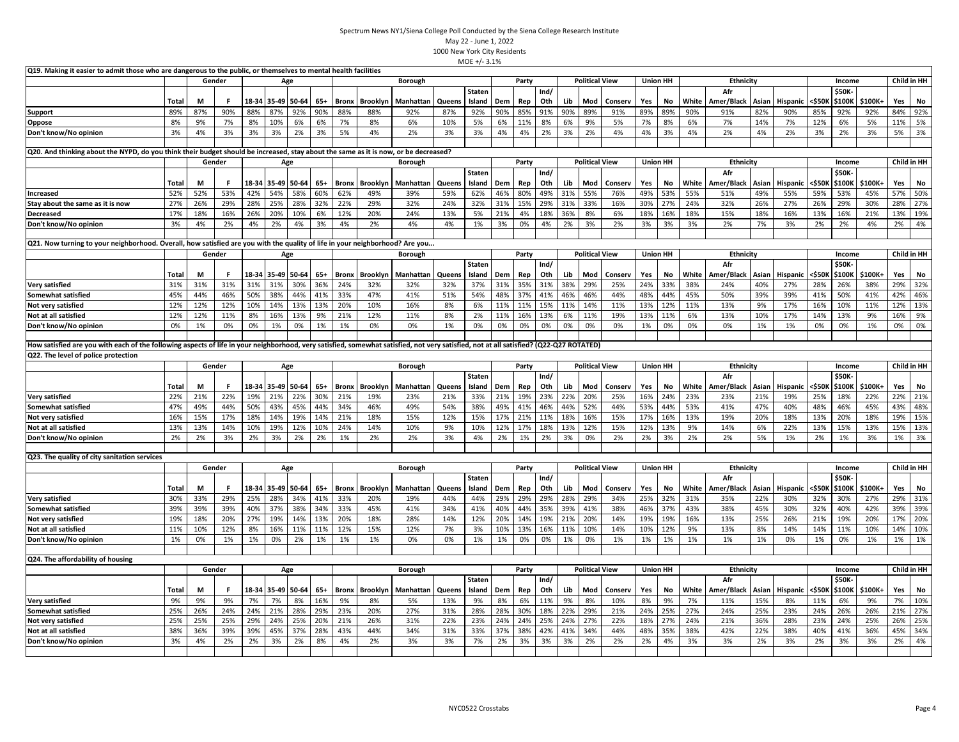| Q19. Making it easier to admit those who are dangerous to the public, or themselves to mental health facilities                                                                        |             |         |        |             |                   |                   |            |                    |                 |                 |               |                         |           |           |             |           |                       |                |           |                 |             |                   |              |                       |               |                 |               |             |             |
|----------------------------------------------------------------------------------------------------------------------------------------------------------------------------------------|-------------|---------|--------|-------------|-------------------|-------------------|------------|--------------------|-----------------|-----------------|---------------|-------------------------|-----------|-----------|-------------|-----------|-----------------------|----------------|-----------|-----------------|-------------|-------------------|--------------|-----------------------|---------------|-----------------|---------------|-------------|-------------|
|                                                                                                                                                                                        |             | Gender  |        |             |                   | Age               |            |                    |                 | <b>Borough</b>  |               |                         |           | Party     |             |           | <b>Political View</b> |                |           | <b>Union HH</b> |             | <b>Ethnicity</b>  |              |                       |               | Income          |               | Child in HH |             |
|                                                                                                                                                                                        |             |         |        |             |                   |                   |            |                    |                 |                 |               | <b>Staten</b>           |           |           | Ind/        |           |                       |                |           |                 |             | Afr               |              |                       |               | \$50K           |               |             |             |
|                                                                                                                                                                                        | Total       | M       |        | 18-34       |                   | 35-49 50-64       | 65+        | <b>Bronx</b>       | <b>Brooklyn</b> | Manhattan       | Queens        | Island                  | Dem       | Rep       | Oth         | Lib       | Mod                   | Conserv        | Yes       | No              | White       | Amer/Black        | Asian        | Hispanic              | <\$50K        | \$100K          | \$100K+       | Yes         | <b>No</b>   |
| <b>Support</b>                                                                                                                                                                         | 89%         | 87%     | 90%    | 88%         | 87%               | 92%               | 90%        | 88%                | 88%             | 92%             | 87%           | 92%                     | 90%       | 85%       | 91%         | 90%       | 89%                   | 91%            | 89%       | 89%             | 90%         | 91%               | 82%          | 90%                   | 85%           | 92%             | 92%           | 84%         | 92%         |
| Oppose                                                                                                                                                                                 | 8%          | 9%      | 7%     | 8%          | 10%               | 6%                | 6%         | 7%                 | 8%              | 6%              | 10%           | 5%                      | 6%        | 11%       | 8%          | 6%        | 9%                    | 5%             | 7%        | 8%              | 6%          | 7%                | 14%          | 7%                    | 12%           | 6%              | 5%            | 11%         | 5%          |
| Don't know/No opinion                                                                                                                                                                  | 3%          | 4%      | 3%     | 3%          | 3%                | 2%                | 3%         | 5%                 | 4%              | 2%              | 3%            | 3%                      | 4%        | 4%        | 2%          | 3%        | 2%                    | 4%             | 4%        | 3%              | 4%          | 2%                | 4%           | 2%                    | 3%            | 2%              | 3%            | 5%          | 3%          |
| Q20. And thinking about the NYPD, do you think their budget should be increased, stay about the same as it is now, or be decreased?                                                    |             |         |        |             |                   |                   |            |                    |                 |                 |               |                         |           |           |             |           |                       |                |           |                 |             |                   |              |                       |               |                 |               |             |             |
|                                                                                                                                                                                        |             | Gender  |        |             |                   | Age               |            |                    |                 | Borough         |               |                         |           | Party     |             |           | <b>Political View</b> |                |           | <b>Union HH</b> |             | Ethnicity         |              |                       |               | Income          |               |             | Child in HH |
|                                                                                                                                                                                        |             |         |        |             |                   |                   |            |                    |                 |                 |               | <b>Staten</b>           |           |           | Ind/        |           |                       |                |           |                 |             | Afr               |              |                       |               | \$50K           |               |             |             |
|                                                                                                                                                                                        | Total       | М       |        | 18-34       |                   | 35-49 50-64       | 65+        | Bronx              | <b>Brooklyn</b> | Manhattan       | Queens        | Island                  | Dem       | Rep       | Oth         | Lib       | Mod                   | Conserv        | Yes       | No              | White       | Amer/Black        | Asian        | Hispanic              | <\$501        | \$100K          | \$100K+       | Yes         | No          |
| Increased                                                                                                                                                                              | 52%         | 52%     | 53%    | 42%         | 54%               | 58%               | 60%        | 62%                | 49%             | 39%             | 59%           | 62%                     | 46%       | 80%       | 49%         | 31%       | 55%                   | 76%            | 49%       | 53%             | 55%         | 51%               | 49%          | 55%                   | 59%           | 53%             | 45%           | 57%         | 50%         |
| Stay about the same as it is now                                                                                                                                                       | 27%         | 26%     | 29%    | 28%         | 25%               | 28%               | 32%        | 22%                | 29%             | 32%             | 24%           | 32%                     | 31%       | 15%       | 29%         | 31%       | 33%                   | 16%            | 30%       | 27%             | 24%         | 32%               | 26%          | 27%                   | 26%           | 29%             | 30%           | 28%         | 27%         |
| <b>Decreased</b>                                                                                                                                                                       | 17%         | 18%     | 16%    | 26%         | 20%               | 10%               | 6%         | 12%                | 20%             | 24%             | 13%           | 5%                      | 21%       | 4%        | 18%         | 36%       | 8%                    | 6%             | 18%       | 16%             | 18%         | 15%               | 18%          | 16%                   | 13%           | 16%             | 21%           | 13%         | 19%         |
| Don't know/No opinion                                                                                                                                                                  | 3%          | 4%      | 2%     | 4%          | 2%                | 4%                | 3%         | 4%                 | 2%              | 4%              | 4%            | 1%                      | 3%        | 0%        | 4%          | 2%        | 3%                    | 2%             | 3%        | 3%              | 3%          | 2%                | 7%           | 3%                    | 2%            | 2%              | 4%            | 2%          | 4%          |
|                                                                                                                                                                                        |             |         |        |             |                   |                   |            |                    |                 |                 |               |                         |           |           |             |           |                       |                |           |                 |             |                   |              |                       |               |                 |               |             |             |
| Q21. Now turning to your neighborhood. Overall, how satisfied are you with the quality of life in your neighborhood? Are you                                                           |             |         |        |             |                   |                   |            |                    |                 |                 |               |                         |           |           |             |           |                       |                |           |                 |             |                   |              |                       |               |                 |               |             |             |
|                                                                                                                                                                                        |             |         | Gender |             |                   | Age               |            |                    |                 | Borough         |               |                         |           | Party     |             |           | <b>Political View</b> |                |           | <b>Union HH</b> |             | Ethnicity         |              |                       |               | Income          |               |             | Child in HH |
|                                                                                                                                                                                        |             |         |        |             |                   |                   |            |                    |                 |                 |               | <b>Staten</b>           |           |           | Ind/        |           |                       |                |           |                 |             | Afr               |              |                       |               | \$50K           |               |             |             |
|                                                                                                                                                                                        | Total       | М       |        | 18-34       |                   | 35-49 50-64       | $65+$      | <b>Bronx</b>       | <b>Brooklyn</b> | Manhattan       | Queens        | Island                  | Dem       | Rep       | Oth         | Lib       | Mod                   | Conserv        | Yes       | No              | White       | Amer/Black        | Asian        | Hispanic              | <\$501        | \$100K          | \$100K+       | Yes         | No          |
| <b>Very satisfied</b>                                                                                                                                                                  | 31%         | 31%     | 31%    | 31%         | 31%               | 30%               | 36%        | 24%                | 32%             | 32%             | 32%           | 37%                     | 31%       | 35%       | 31%         | 38%       | 29%                   | 25%            | 24%       | 33%             | 38%         | 24%               | 40%          | 27%                   | 28%           | 26%             | 38%           | 29%         | 32%         |
| Somewhat satisfied                                                                                                                                                                     | 45%         | 44%     | 46%    | 50%         | 38%               | 44%               | 41%        | 33%                | 47%             | 41%             | 51%           | 54%                     | 48%       | 37%       | 41%         | 46%       | 46%                   | 44%            | 48%       | 44%             | 45%         | 50%               | 39%          | 39%                   | 41%           | 50%             | 41%           | 42%         | 46%         |
| <b>Not very satisfied</b>                                                                                                                                                              | 12%         | 12%     | 12%    | 10%         | 14%               | 13%               | 13%        | 20%                | 10%             | 16%             | 8%            | 6%                      | 11%       | 11%       | 15%         | 11%       | 14%                   | 11%            | 13%       | 12%             | 11%         | 13%               | 9%           | 17%                   | 16%           | 10%             | 11%           | 12%         | 13%         |
| Not at all satisfied                                                                                                                                                                   | 12%         | 12%     | 11%    | 8%          | 16%               | 13%               | 9%         | 21%                | 12%             | 11%             | 8%            | 2%                      | 11%       | 16%       | 13%         | 6%        | 11%                   | 19%            | 13%       | 11%             | 6%          | 13%               | 10%          | 17%                   | 14%           | 13%             | 9%            | 16%         | 9%          |
| Don't know/No opinion                                                                                                                                                                  | 0%          | 1%      | 0%     | 0%          | 1%                | 0%                | 1%         | 1%                 | 0%              | 0%              | 1%            | 0%                      | 0%        | 0%        | 0%          | 0%        | 0%                    | 0%             | 1%        | 0%              | 0%          | 0%                | 1%           | 1%                    | 0%            | 0%              | 1%            | 0%          | 0%          |
|                                                                                                                                                                                        |             |         |        |             |                   |                   |            |                    |                 |                 |               |                         |           |           |             |           |                       |                |           |                 |             |                   |              |                       |               |                 |               |             |             |
| How satisfied are you with each of the following aspects of life in your neighborhood, very satisfied, somewhat satisfied, not very satisfied, not at all satisfied? (Q22-Q27 ROTATED) |             |         |        |             |                   |                   |            |                    |                 |                 |               |                         |           |           |             |           |                       |                |           |                 |             |                   |              |                       |               |                 |               |             |             |
| Q22. The level of police protection                                                                                                                                                    |             |         |        |             |                   |                   |            |                    |                 |                 |               |                         |           |           |             |           |                       |                |           |                 |             |                   |              |                       |               |                 |               |             |             |
|                                                                                                                                                                                        |             | Gender  |        |             |                   | Age               |            |                    |                 | <b>Borough</b>  |               |                         |           | Party     |             |           | <b>Political View</b> |                |           | <b>Union HH</b> |             | <b>Ethnicity</b>  |              |                       |               | Income          |               |             | Child in HH |
|                                                                                                                                                                                        | Total       | М       | F      | 18-34       |                   | 35-49 50-64       | 65+        | <b>Bronx</b>       | Brooklyn        | Manhattan       | Queens        | <b>Staten</b><br>Island | Dem       | Rep       | Ind/<br>Oth | Lib       | Mod                   | Conserv        | Yes       | No              | White       | Afr<br>Amer/Black | Asian        | <b>Hispanic</b>       | <\$501        | \$50K<br>\$100K | \$100K+       | Yes         | No          |
| <b>Very satisfied</b>                                                                                                                                                                  | 22%         | 21%     | 22%    | 19%         | 21%               | 22%               | 30%        | 21%                | 19%             | 23%             | 21%           | 33%                     | 21%       | 19%       | 23%         | 22%       | 20%                   | 25%            | 16%       | 24%             | 23%         | 23%               | 21%          | 19%                   | 25%           | 18%             | 22%           | 22%         | 21%         |
| Somewhat satisfied                                                                                                                                                                     | 47%         | 49%     | 44%    | 50%         | 43%               | 45%               | 44%        | 34%                | 46%             | 49%             | 54%           | 38%                     | 49%       | 41%       | 46%         | 44%       | 52%                   | 44%            | 53%       | 44%             | 53%         | 41%               | 47%          | 40%                   | 48%           | 46%             | 45%           | 43%         | 48%         |
| Not very satisfied                                                                                                                                                                     | 16%         | 15%     | 17%    | 18%         | 14%               | 19%               | 14%        | 21%                | 18%             | 15%             | 12%           | 15%                     | 17%       | 21%       | 11%         | 18%       | 16%                   | 15%            | 17%       | 16%             | 13%         | 19%               | 20%          | 18%                   | 13%           | 20%             | 18%           | 19%         | 15%         |
| Not at all satisfied                                                                                                                                                                   | 13%         | 13%     | 14%    | 10%         | 19%               | 12%               | 10%        | 24%                | 14%             | 10%             | 9%            | 10%                     | 12%       | 17%       | 18%         | 13%       | 12%                   | 15%            | 12%       | 13%             | 9%          | 14%               | 6%           | 22%                   | 13%           | 15%             | 13%           | 15%         | 13%         |
| Don't know/No opinion                                                                                                                                                                  | 2%          | 2%      | 3%     | 2%          | 3%                | 2%                | 2%         | 1%                 | 2%              | 2%              | 3%            | 4%                      | 2%        | 1%        | 2%          | 3%        | 0%                    | 2%             | 2%        | 3%              | 2%          | 2%                | 5%           | 1%                    | 2%            | 1%              | 3%            | 1%          | 3%          |
|                                                                                                                                                                                        |             |         |        |             |                   |                   |            |                    |                 |                 |               |                         |           |           |             |           |                       |                |           |                 |             |                   |              |                       |               |                 |               |             |             |
| Q23. The quality of city sanitation services                                                                                                                                           |             |         |        |             |                   |                   |            |                    |                 |                 |               |                         |           |           |             |           |                       |                |           |                 |             |                   |              |                       |               |                 |               |             |             |
|                                                                                                                                                                                        |             | Gender  |        |             |                   | Age               |            |                    |                 | <b>Borough</b>  |               |                         |           | Party     |             |           | <b>Political View</b> |                |           | <b>Union HH</b> |             | <b>Ethnicity</b>  |              |                       |               | Income          |               | Child in HH |             |
|                                                                                                                                                                                        | Total       | M       |        |             | 18-34 35-49 50-64 |                   | 65+        | Bronx              | <b>Brooklyn</b> | Manhattan       | Queens        | Staten<br>Island        | Dem       | Rep       | Ind/<br>Oth | Lib       | Mod                   | Conserv        | Yes       | No              | White       | Afr<br>Amer/Black | Asian        | <b>Hispanic</b>       | <\$50K        | \$50K<br>\$100K | \$100K+       | Yes         | No          |
| <b>Very satisfied</b>                                                                                                                                                                  | 30%         | 33%     | 29%    | 25%         | 28%               | 34%               | 41%        | 33%                | 20%             | 19%             | 44%           | 44%                     | 29%       | 29%       | 29%         | 28%       | 29%                   | 34%            | 25%       | 32%             | 31%         | 35%               | 22%          | 30%                   | 32%           | 30%             | 27%           | 29%         | 31%         |
| Somewhat satisfied                                                                                                                                                                     | 39%         | 39%     | 39%    | 40%         | 37%               | 38%               | 34%        | 33%                | 45%             | 41%             | 34%           | 41%                     | 40%       | 44%       | 35%         | 39%       | 41%                   | 38%            | 46%       | 37%             | 43%         | 38%               | 45%          | 30%                   | 32%           | 40%             | 42%           | 39%         | 39%         |
| Not very satisfied                                                                                                                                                                     | 19%         | 18%     | 20%    | 27%         | 19%               | 14%               | 13%        | 20%                | 18%             | 28%             | 14%           | 12%                     | 20%       | 14%       | 19%         | 21%       | 20%                   | 14%            | 19%       | 19%             | 16%         | 13%               | 25%          | 26%                   | 21%           | 19%             | 20%           | 17%         | 20%         |
| Not at all satisfied                                                                                                                                                                   | 11%         | 10%     | 12%    | 8%          | 16%               | 11%               | 11%        | 12%                | 15%             | 12%             | 7%            | 3%                      | 10%       | 13%       | 16%         | 11%       | 10%                   | 14%            | 10%       | 12%             | 9%          | 13%               | 8%           | 14%                   | 14%           | 11%             | 10%           | 14%         | 10%         |
| Don't know/No opinion                                                                                                                                                                  | 1%          | 0%      | 1%     | 1%          | 0%                | 2%                | 1%         | 1%                 | 1%              | 0%              | 0%            | 1%                      | 1%        | 0%        | 0%          | 1%        | 0%                    | 1%             | 1%        | 1%              | 1%          | 1%                | 1%           | 0%                    | 1%            | 0%              | 1%            | 1%          | 1%          |
|                                                                                                                                                                                        |             |         |        |             |                   |                   |            |                    |                 |                 |               |                         |           |           |             |           |                       |                |           |                 |             |                   |              |                       |               |                 |               |             |             |
| Q24. The affordability of housing                                                                                                                                                      |             |         |        |             |                   |                   |            |                    |                 |                 |               |                         |           |           |             |           |                       |                |           |                 |             |                   |              |                       |               |                 |               |             |             |
|                                                                                                                                                                                        |             | Gender  |        |             |                   | Age               |            |                    |                 | <b>Borough</b>  |               |                         |           | Party     |             |           | <b>Political View</b> |                |           | <b>Union HH</b> |             | Ethnicity         |              |                       |               | Income          |               | Child in HH |             |
|                                                                                                                                                                                        |             |         | F      |             |                   |                   |            |                    |                 |                 |               | Staten                  |           |           | Ind/        |           |                       |                |           |                 |             | Afr               |              |                       |               | \$50K-          |               |             |             |
| <b>Very satisfied</b>                                                                                                                                                                  | Total<br>9% | М<br>9% | 9%     | 18-34<br>7% | 7%                | 35-49 50-64<br>8% | 65+<br>16% | <b>Bronx</b><br>9% | Brooklyn<br>8%  | Manhattan<br>5% | Queens<br>13% | Island<br>9%            | Dem<br>8% | Rep<br>6% | Oth<br>11%  | Lib<br>9% | Mod<br>8%             | Conserv<br>10% | Yes<br>8% | No<br>9%        | White<br>7% | Amer/Black<br>11% | Asian<br>15% | <b>Hispanic</b><br>8% | <\$50K<br>11% | \$100K<br>6%    | \$100K+<br>9% | Yes<br>7%   | No<br>10%   |
| Somewhat satisfied                                                                                                                                                                     | 25%         | 26%     | 24%    | 24%         | 21%               | 28%               | 29%        | 23%                | 20%             | 27%             | 31%           | 28%                     | 28%       | 30%       | 18%         | 22%       | 29%                   | 21%            | 24%       | 25%             | 27%         | 24%               | 25%          | 23%                   | 24%           | 26%             | 26%           | 21%         | 27%         |
| <b>Not very satisfied</b>                                                                                                                                                              | 25%         | 25%     | 25%    | 29%         | 24%               | 25%               | 20%        | 21%                | 26%             | 31%             | 22%           | 23%                     | 24%       | 24%       | 25%         | 24%       | 27%                   | 22%            | 18%       | 27%             | 24%         | 21%               | 36%          | 28%                   | 23%           | 24%             | 25%           | 26%         | 25%         |
| Not at all satisfied                                                                                                                                                                   | 38%         | 36%     | 39%    | 39%         | 45%               | 37%               | 28%        | 43%                | 44%             | 34%             | 31%           | 33%                     | 37%       | 38%       | 42%         | 41%       | 34%                   | 44%            | 48%       | 35%             | 38%         | 42%               | 22%          | 38%                   | 40%           | 41%             | 36%           | 45%         | 34%         |
| Don't know/No opinion                                                                                                                                                                  |             |         |        |             |                   |                   |            |                    |                 |                 |               |                         |           |           |             |           |                       |                |           |                 |             |                   |              |                       |               |                 |               |             |             |
|                                                                                                                                                                                        | 3%          | 4%      | 2%     | 2%          | 3%                | 2%                | 8%         | 4%                 | 2%              | 3%              | 3%            | 7%                      | 2%        | 3%        | 3%          | 3%        | 2%                    | 2%             | 2%        | 4%              | 3%          | 3%                | 2%           | 3%                    | 2%            | 3%              | 3%            | 2%          | 4%          |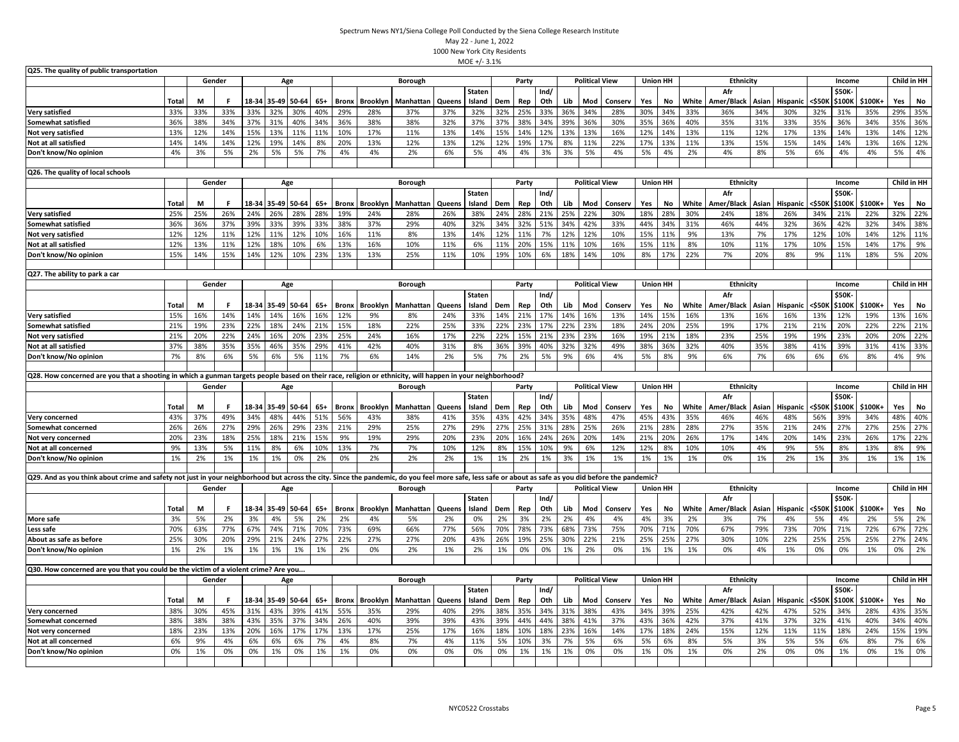| Q25. The quality of public transportation                                                                                                                                                             |              |           |           |           |             |                   |              |              |                 |                 |               |               |            |            |             |           |                       |                |                 |                 |           |                   |              |                 |           |                 |           |             |            |
|-------------------------------------------------------------------------------------------------------------------------------------------------------------------------------------------------------|--------------|-----------|-----------|-----------|-------------|-------------------|--------------|--------------|-----------------|-----------------|---------------|---------------|------------|------------|-------------|-----------|-----------------------|----------------|-----------------|-----------------|-----------|-------------------|--------------|-----------------|-----------|-----------------|-----------|-------------|------------|
|                                                                                                                                                                                                       |              |           | Gender    |           |             | Age               |              |              |                 | Borough         |               |               |            | Party      |             |           | <b>Political View</b> |                |                 | <b>Union HH</b> |           | Ethnicity         |              |                 |           | Income          |           | Child in HH |            |
|                                                                                                                                                                                                       |              |           |           |           |             |                   |              |              |                 |                 |               | <b>Staten</b> |            |            | Ind/        |           |                       |                |                 |                 |           | Afr               |              |                 |           | <b>\$50K</b>    |           |             |            |
|                                                                                                                                                                                                       | Total        | М         | Е         |           | 18-34 35-49 | 50-64             | $65+$        | <b>Bronx</b> | Brooklyn        | Manhattan       | Queens        | Island        | Dem        | Rep        | Oth         | Lib       | Mod                   | Conserv        | Yes             | No              | White     | Amer/Black        | Asian        | Hispanic        | <\$501    | <b>\$100K</b>   | \$100K+   | Yes         | No         |
| <b>Very satisfied</b>                                                                                                                                                                                 | 33%          | 33%       | 33%       | 33%       | 32%         | 30%               | 40%          | 29%          | 28%             | 37%             | 37%           | 32%           | 32%        | 25%        | 33%         | 36%       | 34%                   | 28%            | 30%             | 34%             | 33%       | 36%               | 34%          | 30%             | 32%       | 31%             | 35%       | 29%         | 35%        |
| Somewhat satisfied                                                                                                                                                                                    | 36%          | 38%       | 34%       | 37%       | 31%         | 40%               | 34%          | 36%          | 38%             | 38%             | 32%           | 37%           | 37%        | 38%        | 34%         | 39%       | 36%                   | 30%            | 35%             | 36%             | 40%       | 35%               | 31%          | 33%             | 35%       | 36%             | 34%       | 35%         | 36%        |
| Not very satisfied                                                                                                                                                                                    | 13%          | 12%       | 14%       | 15%       | 13%         | 11%               | 11%          | 10%          | 17%             | 11%             | 13%           | 14%           | 15%        | 14%        | 12%         | 13%       | 13%                   | 16%            | 12%             | 14%             | 13%       | 11%               | 12%          | 17%             | 13%       | 14%             | 13%       | 14%         | 12%        |
| Not at all satisfied                                                                                                                                                                                  | 14%          | 14%       | 14%       | 12%       | 19%         | 14%               | 8%           | 20%          | 13%             | 12%             | 13%           | 12%           | 12%        | 19%        | 17%         | 8%        | 11%                   | 22%            | 17%             | 13%             | 11%       | 13%               | 15%          | 15%             | 14%       | 14%             | 13%       | 16%         | 12%        |
| Don't know/No opinion                                                                                                                                                                                 | 4%           | 3%        | 5%        | 2%        | 5%          | 5%                | 7%           | 4%           | 4%              | 2%              | 6%            | 5%            | 4%         | 4%         | 3%          | 3%        | 5%                    | 4%             | 5%              | 4%              | 2%        | 4%                | 8%           | 5%              | 6%        | 4%              | 4%        | 5%          | 4%         |
|                                                                                                                                                                                                       |              |           |           |           |             |                   |              |              |                 |                 |               |               |            |            |             |           |                       |                |                 |                 |           |                   |              |                 |           |                 |           |             |            |
| Q26. The quality of local schools                                                                                                                                                                     |              |           |           |           |             |                   |              |              |                 |                 |               |               |            |            |             |           | <b>Political View</b> |                |                 |                 |           |                   |              |                 |           |                 |           | Child in HH |            |
|                                                                                                                                                                                                       |              |           | Gender    |           |             | Age               |              |              |                 | Borough         |               |               |            | Party      |             |           |                       |                |                 | <b>Union HH</b> |           | Ethnicity         |              |                 |           | Income          |           |             |            |
|                                                                                                                                                                                                       |              |           |           |           |             |                   |              |              |                 |                 |               | Staten        |            |            | Ind/<br>Oth |           |                       |                |                 |                 |           | Afr               |              |                 | <\$501    | \$50K<br>\$100K |           |             |            |
|                                                                                                                                                                                                       | Total        | М         |           | 18-34     | 35-49       | 50-64             | $65+$        | <b>Bronx</b> | Brooklyn        | Manhattar       | Queens        | Island        | Dem        | Rep        |             | Lib       | Mod                   | Conserv        | Yes             | No              | White     | Amer/Black        | Asian        | Hispanic        |           |                 | \$100K+   | Yes         | No         |
| <b>Very satisfied</b>                                                                                                                                                                                 | 25%          | 25%       | 26%       | 24%       | 26%         | 28%               | 28%          | 19%          | 24%             | 28%             | 26%           | 38%           | 24%        | 28%        | 21%         | 25%       | 22%                   | 30%            | 18%             | 28%             | 30%       | 24%               | 18%          | 26%             | 34%       | 21%             | 22%       | 32%         | 22%        |
| Somewhat satisfied                                                                                                                                                                                    | 36%          | 36%       | 37%       | 39%       | 33%         | 39%               | 33%          | 38%          | 37%             | 29%             | 40%           | 32%           | 34%        | 32%        | 51%         | 34%       | 42%                   | 33%            | 44%             | 34%             | 31%       | 46%               | 44%          | 32%             | 36%       | 42%             | 32%       | 34%         | 38%        |
| Not very satisfied                                                                                                                                                                                    | 12%          | 12%       | 11%       | 12%       | 11%         | 12%               | 10%          | 16%          | 11%             | 8%              | 13%           | 14%           | 12%        | 11%        | 7%          | 12%       | 12%                   | 10%            | 15%             | 11%             | 9%        | 13%               | 7%           | 17%             | 12%       | 10%             | 14%       | 12%         | 11%        |
| Not at all satisfied                                                                                                                                                                                  | 12%          | 13%       | 11%       | 12%       | 18%         | 10%               | 6%           | 13%          | 16%             | 10%             | 11%           | 6%            | 11%        | 20%        | 15%         | 11%       | 10%                   | 16%            | 15%             | 11%             | 8%        | 10%               | 11%          | 17%             | 10%       | 15%             | 14%       | 17%         | 9%         |
| Don't know/No opinion                                                                                                                                                                                 | 15%          | 14%       | 15%       | 14%       | 12%         | 10%               | 23%          | 13%          | 13%             | 25%             | 11%           | 10%           | 19%        | 10%        | 6%          | 18%       | 14%                   | 10%            | 8%              | 17%             | 22%       | 7%                | 20%          | 8%              | 9%        | 11%             | 18%       | 5%          | 20%        |
| Q27. The ability to park a car                                                                                                                                                                        |              |           |           |           |             |                   |              |              |                 |                 |               |               |            |            |             |           |                       |                |                 |                 |           |                   |              |                 |           |                 |           |             |            |
|                                                                                                                                                                                                       |              |           | Gender    |           |             |                   |              |              |                 | Borough         |               |               |            | Party      |             |           | <b>Political View</b> |                |                 | <b>Union HH</b> |           | Ethnicity         |              |                 |           | Income          |           | Child in HH |            |
|                                                                                                                                                                                                       |              |           |           |           |             | Age               |              |              |                 |                 |               | Staten        |            |            | Ind/        |           |                       |                |                 |                 |           | Afr               |              |                 |           | \$50K           |           |             |            |
|                                                                                                                                                                                                       | <b>Total</b> | М         |           |           |             | 18-34 35-49 50-64 | $65+$        | <b>Bronx</b> | <b>Brooklyn</b> |                 |               |               |            |            | Oth         | Lib       | Mod                   |                |                 | No              | White     |                   |              |                 | <\$501    | \$100K          | \$100K+   |             | No         |
| <b>Very satisfied</b>                                                                                                                                                                                 | 15%          | 16%       | 14%       | 14%       | 14%         | 16%               | 16%          | 12%          | 9%              | Manhattar<br>8% | Queens<br>24% | Island<br>33% | Dem<br>14% | Rep<br>21% | 17%         | 14%       | 16%                   | Conserv<br>13% | Yes<br>14%      | 15%             | 16%       | Amer/Black<br>13% | Asian<br>16% | Hispanic<br>16% | 13%       | 12%             | 19%       | Yes<br>13%  | 16%        |
| Somewhat satisfied                                                                                                                                                                                    | 21%          | 19%       | 23%       | 22%       | 18%         | 24%               | 21%          | 15%          | 18%             | 22%             | 25%           | 33%           | 22%        | 23%        | 17%         | 22%       | 23%                   | 18%            | 24%             | 20%             | 25%       | 19%               | 17%          | 21%             | 21%       | 20%             | 22%       | 22%         | 21%        |
|                                                                                                                                                                                                       | 21%          | 20%       | 22%       | 24%       | 16%         | 20%               | 23%          | 25%          | 24%             | 16%             | 17%           | 22%           | 22%        | 15%        | 21%         | 23%       | 23%                   | 16%            | 19%             | 21%             | 18%       | 23%               | 25%          | 19%             | 19%       | 23%             | 20%       | 20%         | 22%        |
| Not very satisfied                                                                                                                                                                                    |              |           |           |           |             |                   |              |              |                 |                 |               |               |            |            |             |           |                       |                |                 |                 |           |                   |              |                 |           |                 |           |             |            |
| Not at all satisfied                                                                                                                                                                                  | 37%          | 38%       | 35%       | 35%       | 46%         | 35%               | 29%          | 41%          | 42%             | 40%             | 31%           | 8%            | 36%        | 39%        | 40%         | 32%       | 32%                   | 49%            | 38%             | 36%             | 32%       | 40%               | 35%          | 38%             | 41%       | 39%             | 31%       | 41%         | 33%        |
| Don't know/No opinion                                                                                                                                                                                 | 7%           | 8%        | 6%        | 5%        | 6%          | 5%                | 11%          | 7%           | 6%              | 14%             | 2%            | 5%            | 7%         | 2%         | 5%          | 9%        | 6%                    | 4%             | 5%              | 8%              | 9%        | 6%                | 7%           | 6%              | 6%        | 6%              | 8%        | 4%          | 9%         |
|                                                                                                                                                                                                       |              |           |           |           |             |                   |              |              |                 |                 |               |               |            |            |             |           |                       |                |                 |                 |           |                   |              |                 |           |                 |           |             |            |
|                                                                                                                                                                                                       |              |           |           |           |             |                   |              |              |                 |                 |               |               |            |            |             |           |                       |                |                 |                 |           |                   |              |                 |           |                 |           |             |            |
| Q28. How concerned are you that a shooting in which a gunman targets people based on their race, religion or ethnicity, will happen in your neighborhood?                                             |              |           |           |           |             |                   |              |              |                 |                 |               |               |            |            |             |           |                       |                |                 |                 |           |                   |              |                 |           |                 |           |             |            |
|                                                                                                                                                                                                       |              |           | Gender    |           |             | Age               |              |              |                 | <b>Borough</b>  |               |               |            | Party      |             |           | <b>Political View</b> |                |                 | <b>Union HH</b> |           | Ethnicity         |              |                 |           | Income          |           | Child in HH |            |
|                                                                                                                                                                                                       |              |           |           |           |             |                   |              |              |                 |                 |               | <b>Staten</b> |            |            | Ind/        |           |                       |                |                 |                 |           | Afr               |              |                 |           | \$50K           |           |             |            |
|                                                                                                                                                                                                       | Total        | М         |           |           | 18-34 35-49 | 50-64             | 65+          | <b>Bronx</b> | <b>Brooklyn</b> | Manhattan       | Queens        | Island        | Dem        | Rep        | Oth         | Lib       | Mod                   | Conserv        | Yes             | No              | White     | Amer/Black        | Asian        | Hispanic        | <\$501    | \$100K          | \$100K+   | Yes         | No         |
| Very concerned                                                                                                                                                                                        | 43%          | 37%       | 49%       | 34%       | 48%         | 44%               | 51%          | 56%          | 43%             | 38%             | 41%           | 35%           | 43%        | 42%        | 34%         | 35%       | 48%                   | 47%            | 45%             | 43%             | 35%       | 46%               | 46%          | 48%             | 56%       | 39%             | 34%       | 48%         | 40%        |
| Somewhat concerned                                                                                                                                                                                    | 26%          | 26%       | 27%       | 29%       | 26%         | 29%               | 23%          | 21%          | 29%             | 25%             | 27%           | 29%           | 27%        | 25%        | 31%         | 28%       | 25%                   | 26%            | 21%             | 28%             | 28%       | 27%               | 35%          | 21%             | 24%       | 27%             | 27%       | 25%         | 27%        |
| Not very concerned                                                                                                                                                                                    | 20%          | 23%       | 18%       | 25%       | 18%         | 21%               | 15%          | 9%           | 19%             | 29%             | 20%           | 23%           | 20%        | 16%        | 24%         | 26%       | 20%                   | 14%            | 21%             | 20%             | 26%       | 17%               | 14%          | 20%             | 14%       | 23%             | 26%       | 17%         |            |
| Not at all concerned                                                                                                                                                                                  | 9%           | 13%       | 5%        | 11%       | 8%          | 6%                | 10%          | 13%          | 7%              | 7%              | 10%           | 12%           | 8%         | 15%        | 10%         | 9%        | 6%                    | 12%            | 12%             | 8%              | 10%       | 10%               | 4%           | 9%              | 5%        | 8%              | 13%       | 8%          | 22%<br>9%  |
| Don't know/No opinion                                                                                                                                                                                 | 1%           | 2%        | 1%        | 1%        | 1%          | 0%                | 2%           | 0%           | 2%              | 2%              | 2%            | 1%            | 1%         | 2%         | 1%          | 3%        | 1%                    | 1%             | 1%              | 1%              | 1%        | 0%                | 1%           | 2%              | 1%        | 3%              | 1%        | 1%          | 1%         |
| Q29. And as you think about crime and safety not just in your neighborhood but across the city. Since the pandemic, do you feel more safe, less safe or about as safe as you did before the pandemic? |              |           |           |           |             |                   |              |              |                 |                 |               |               |            |            |             |           |                       |                |                 |                 |           |                   |              |                 |           |                 |           |             |            |
|                                                                                                                                                                                                       |              | Gender    |           |           |             | Age               |              |              |                 | Borough         |               |               |            | Party      |             |           | <b>Political View</b> |                |                 | <b>Union HH</b> |           | Ethnicity         |              |                 |           | Income          |           | Child in HH |            |
|                                                                                                                                                                                                       |              |           |           |           |             |                   |              |              |                 |                 |               |               |            |            |             |           |                       |                |                 |                 |           | Afr               |              |                 |           |                 |           |             |            |
|                                                                                                                                                                                                       |              |           |           |           |             |                   |              |              |                 |                 |               | <b>Staten</b> |            |            | Ind/        |           |                       |                |                 |                 |           |                   |              |                 |           | \$50K           |           |             |            |
|                                                                                                                                                                                                       | <b>Total</b> | М         |           |           |             | 18-34 35-49 50-64 | $65+$        | <b>Bronx</b> | <b>Brooklyn</b> | Manhattar       | Queens        | Island        | Dem        | Rep        | Oth         | Lib       | Mod                   | Conserv        | Yes             | No              | White     | Amer/Black        | Asian        | Hispanic        | <\$501    | \$100K          | \$100K+   | Yes         | No         |
| More safe<br>Less safe                                                                                                                                                                                | 3%<br>70%    | 5%<br>63% | 2%<br>77% | 3%<br>67% | 4%<br>74%   | 5%<br>71%         | 2%<br>70%    | 2%<br>73%    | 4%<br>69%       | 5%<br>66%       | 2%<br>77%     | 0%<br>56%     | 2%<br>70%  | 3%<br>78%  | 2%<br>73%   | 2%<br>68% | 4%<br>73%             | 4%<br>75%      | 4%<br>70%       | 3%<br>71%       | 2%<br>70% | 3%<br>67%         | 7%<br>79%    | 4%<br>73%       | 5%<br>70% | 4%<br>71%       | 2%<br>72% | 5%<br>67%   | 2%         |
| About as safe as before                                                                                                                                                                               | 25%          | 30%       | 20%       | 29%       | 21%         | 24%               | 27%          | 22%          | 27%             | 27%             | 20%           | 43%           | 26%        | 19%        | 25%         | 30%       | 22%                   | 21%            | 25%             | 25%             | 27%       | 30%               | 10%          | 22%             | 25%       | 25%             | 25%       | 27%         | 72%<br>24% |
| Don't know/No opinion                                                                                                                                                                                 | 1%           | 2%        | 1%        | 1%        | 1%          | 1%                | 1%           | 2%           | 0%              | 2%              | 1%            | 2%            | 1%         | 0%         | 0%          | 1%        | 2%                    | 0%             | 1%              | 1%              | 1%        | 0%                | 4%           | 1%              | 0%        | 0%              | 1%        | 0%          | 2%         |
|                                                                                                                                                                                                       |              |           |           |           |             |                   |              |              |                 |                 |               |               |            |            |             |           |                       |                |                 |                 |           |                   |              |                 |           |                 |           |             |            |
| Q30. How concerned are you that you could be the victim of a violent crime? Are you                                                                                                                   |              |           |           |           |             |                   |              |              |                 |                 |               |               |            |            |             |           |                       |                |                 |                 |           |                   |              |                 |           |                 |           |             |            |
|                                                                                                                                                                                                       |              |           | Gender    |           |             | Age               |              |              |                 | Borough         |               |               |            | Party      |             |           | <b>Political View</b> |                | <b>Union HH</b> |                 |           | <b>Ethnicity</b>  |              |                 |           | Income          |           | Child in HH |            |
|                                                                                                                                                                                                       |              |           | F         |           |             |                   |              |              |                 |                 |               | <b>Staten</b> |            |            | Ind/        |           |                       |                |                 |                 |           | Afr               |              |                 |           | \$50K           |           |             |            |
|                                                                                                                                                                                                       | Total<br>38% | М         |           |           |             | 18-34 35-49 50-64 | $65+$<br>41% | <b>Bronx</b> | Brooklyn        | Manhattan       | Queens        | Island        | Dem        | Rep        | Oth         | Lib       | Mod                   | Conserv        | Yes             | No              | White     | Amer/Black        | Asian        | Hispanic<br>47% | <\$501    | \$100K          | \$100K+   | Yes         | No         |
| Very concerned                                                                                                                                                                                        |              | 30%       | 45%       | 31%       | 43%         | 39%               |              | 55%          | 35%             | 29%             | 40%           | 29%           | 38%        | 35%        | 34%         | 31%       | 38%                   | 43%            | 34%             | 39%             | 25%       | 42%               | 42%          |                 | 52%       | 34%             | 28%       | 43%         | 35%        |
| Somewhat concerned                                                                                                                                                                                    | 38%          | 38%       | 38%       | 43%       | 35%         | 37%               | 34%          | 26%          | 40%             | 39%             | 39%           | 43%           | 39%        | 44%        | 44%         | 38%       | 41%                   | 37%            | 43%             | 36%             | 42%       | 37%               | 41%          | 37%             | 32%       | 41%             | 40%       | 34%         | 40%        |
| Not very concerned                                                                                                                                                                                    | 18%<br>6%    | 23%<br>9% | 13%<br>4% | 20%       | 16%         | 17%               | 17%          | 13%<br>4%    | 17%<br>8%       | 25%             | 17%           | 16%<br>11%    | 18%        | 10%        | 18%         | 23%       | 16%                   | 14%            | 17%             | 18%             | 24%<br>8% | 15%               | 12%          | 11%<br>5%       | 11%       | 18%             | 24%       | 15%<br>7%   | 19%        |
| Not at all concerned<br>Don't know/No opinion                                                                                                                                                         | 0%           | 1%        | 0%        | 6%<br>0%  | 6%<br>1%    | 6%<br>0%          | 7%<br>1%     | 1%           | 0%              | 7%<br>0%        | 4%<br>0%      | 0%            | 5%<br>0%   | 10%<br>1%  | 3%<br>1%    | 7%<br>1%  | 5%<br>0%              | 6%<br>0%       | 5%<br>1%        | 6%<br>0%        | 1%        | 5%<br>0%          | 3%<br>2%     | 0%              | 5%<br>0%  | 6%<br>1%        | 8%<br>0%  | 1%          | 6%<br>0%   |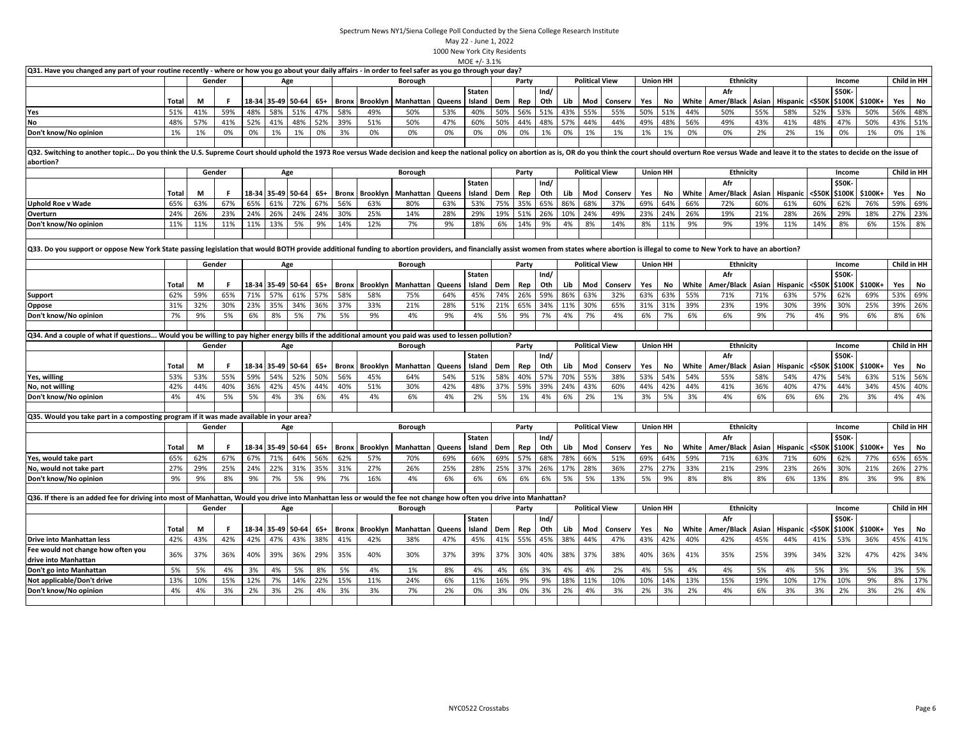|                                                                                                                                                                                                                                          |              |     |        |     |     |                   |       |              |                 |                |        | $MOE +/- 3.1%$          |     |       |             |     |                       |         |     |                 |       |                   |       |                 |        |                  |         |     |             |
|------------------------------------------------------------------------------------------------------------------------------------------------------------------------------------------------------------------------------------------|--------------|-----|--------|-----|-----|-------------------|-------|--------------|-----------------|----------------|--------|-------------------------|-----|-------|-------------|-----|-----------------------|---------|-----|-----------------|-------|-------------------|-------|-----------------|--------|------------------|---------|-----|-------------|
| Q31. Have you changed any part of your routine recently - where or how you go about your daily affairs - in order to feel safer as you go through your day?                                                                              |              |     |        |     |     |                   |       |              |                 |                |        |                         |     |       |             |     |                       |         |     |                 |       |                   |       |                 |        |                  |         |     |             |
|                                                                                                                                                                                                                                          |              |     | Gender |     |     | Age               |       |              |                 | <b>Borough</b> |        |                         |     | Party |             |     | <b>Political View</b> |         |     | <b>Union HH</b> |       | <b>Ethnicity</b>  |       |                 |        | Income           |         |     | Child in HH |
|                                                                                                                                                                                                                                          | Total        | M   | F      |     |     | 18-34 35-49 50-64 | $65+$ | Bronx        | Brooklyn        | Manhattar      | Queens | Staten<br>Island        | Dem | Rep   | Ind/<br>Oth | Lib | Mod                   | Conserv | Yes | No              | White | Afr<br>Amer/Black | Asian | Hispanic        | <\$50K | \$50K-<br>\$100K | \$100K+ | Yes | No          |
| Yes                                                                                                                                                                                                                                      | 51%          | 41% | 59%    | 48% | 58% | 51%               | 47%   | 58%          | 49%             | 50%            | 53%    | 40%                     | 50% | 56%   | 51%         | 43% | 55%                   | 55%     | 50% | 51%             | 44%   | 50%               | 55%   | 58%             | 52%    | 53%              | 50%     | 56% | 48%         |
| No                                                                                                                                                                                                                                       | 48%          | 57% | 41%    | 52% | 41% | 48%               | 52%   | 39%          | 51%             | 50%            | 47%    | 60%                     | 50% | 44%   | 48%         | 57% | 44%                   | 44%     | 49% | 48%             | 56%   | 49%               | 43%   | 41%             | 48%    | 47%              | 50%     | 43% | 51%         |
| Don't know/No opinion                                                                                                                                                                                                                    | 1%           | 1%  | 0%     | 0%  | 1%  | 1%                | 0%    | 3%           | 0%              | 0%             | 0%     | 0%                      | 0%  | 0%    | 1%          | 0%  | 1%                    | 1%      | 1%  | 1%              | 0%    | 0%                | 2%    | 2%              | 1%     | 0%               | 1%      | 0%  | 1%          |
| Q32. Switching to another topic Do you think the U.S. Supreme Court should uphold the 1973 Roe versus Wade decision and keep the national policy on abortion as is, OR do you think the court should overturn Roe versus Wa<br>abortion? |              |     |        |     |     |                   |       |              |                 |                |        |                         |     |       |             |     |                       |         |     |                 |       |                   |       |                 |        |                  |         |     |             |
|                                                                                                                                                                                                                                          |              |     | Gender |     |     | Age               |       |              |                 | <b>Borough</b> |        |                         |     | Party |             |     | <b>Political View</b> |         |     | <b>Union HH</b> |       | Ethnicity         |       |                 |        | Income           |         |     | Child in HH |
|                                                                                                                                                                                                                                          |              |     |        |     |     |                   |       |              |                 |                |        | <b>Staten</b>           |     |       | Ind/        |     |                       |         |     |                 |       | Afr               |       |                 |        | \$50K            |         |     |             |
|                                                                                                                                                                                                                                          | <b>Total</b> | М   | -F     |     |     | 18-34 35-49 50-64 | $65+$ | <b>Bronx</b> | Brooklyn        | Manhattan      | Queens | Island                  | Dem | Rep   | Oth         | Lib | Mod                   | Conserv | Yes | No              | White | Amer/Black        | Asian | Hispanic        | <\$50⊧ | \$100K           | \$100K+ | Yes | No          |
| <b>Uphold Roe v Wade</b>                                                                                                                                                                                                                 | 65%          | 63% | 67%    | 65% | 61% | 72%               | 67%   | 56%          | 63%             | 80%            | 63%    | 53%                     | 75% | 35%   | 65%         | 86% | 68%                   | 37%     | 69% | 64%             | 66%   | 72%               | 60%   | 61%             | 60%    | 62%              | 76%     | 59% | 69%         |
| Overturn                                                                                                                                                                                                                                 | 24%          | 26% | 23%    | 24% | 26% | 24%               | 24%   | 30%          | 25%             | 14%            | 28%    | 29%                     | 19% | 51%   | 26%         | 10% | 24%                   | 49%     | 23% | 24%             | 26%   | 19%               | 21%   | 28%             | 26%    | 29%              | 18%     | 27% | 23%         |
| Don't know/No opinion                                                                                                                                                                                                                    | 11%          | 11% | 11%    | 11% | 13% | 5%                | 9%    | 14%          | 12%             | 7%             | 9%     | 18%                     | 6%  | 14%   | 9%          | 4%  | 8%                    | 14%     | 8%  | 11%             | 9%    | 9%                | 19%   | 11%             | 14%    | 8%               | 6%      | 15% | 8%          |
| Q33. Do you support or oppose New York State passing legislation that would BOTH provide additional funding to abortion providers, and financially assist women from states where abortion is illegal to come to New York to h           |              |     |        |     |     |                   |       |              |                 |                |        |                         |     |       |             |     |                       |         |     |                 |       |                   |       |                 |        |                  |         |     |             |
|                                                                                                                                                                                                                                          |              |     | Gender |     |     | Age               |       |              |                 | <b>Borough</b> |        |                         |     | Party |             |     | <b>Political View</b> |         |     | <b>Union HH</b> |       | Ethnicity         |       |                 |        | Income           |         |     | Child in HH |
|                                                                                                                                                                                                                                          |              |     |        |     |     |                   |       |              |                 |                |        | <b>Staten</b>           |     |       | Ind/        |     |                       |         |     |                 |       | Afr               |       |                 |        | \$50K-           |         |     |             |
|                                                                                                                                                                                                                                          | Total        | М   | F      |     |     | 18-34 35-49 50-64 | $65+$ | Bronx        | <b>Brooklyn</b> | Manhattan      | Queens | Island                  | Dem | Rep   | Oth         | Lib | Mod                   | Conserv | Yes | No              | White | Amer/Black        | Asian | Hispanic        | <\$50K | \$100K           | \$100K+ | Yes | No          |
| Support                                                                                                                                                                                                                                  | 62%          | 59% | 65%    | 71% | 57% | 61%               | 57%   | 58%          | 58%             | 75%            | 64%    | 45%                     | 74% | 26%   | 59%         | 86% | 63%                   | 32%     | 63% | 63%             | 55%   | 71%               | 71%   | 63%             | 57%    | 62%              | 69%     | 53% | 69%         |
| Oppose                                                                                                                                                                                                                                   | 31%          | 32% | 30%    | 23% | 35% | 34%               | 36%   | 37%          | 33%             | 21%            | 28%    | 51%                     | 21% | 65%   | 34%         | 11% | 30%                   | 65%     | 31% | 31%             | 39%   | 23%               | 19%   | 30%             | 39%    | 30%              | 25%     | 39% | 26%         |
| Don't know/No opinion                                                                                                                                                                                                                    | 7%           | 9%  | 5%     | 6%  | 8%  | 5%                | 7%    | 5%           | 9%              | 4%             | 9%     | 4%                      | 5%  | 9%    | 7%          | 4%  | 7%                    | 4%      | 6%  | 7%              | 6%    | 6%                | 9%    | 7%              | 4%     | 9%               | 6%      | 8%  | 6%          |
| Q34. And a couple of what if questions Would you be willing to pay higher energy bills if the additional amount you paid was used to lessen pollution?                                                                                   |              |     |        |     |     |                   |       |              |                 |                |        |                         |     |       |             |     |                       |         |     |                 |       |                   |       |                 |        |                  |         |     |             |
|                                                                                                                                                                                                                                          |              |     | Gender |     |     | Age               |       |              |                 | <b>Borough</b> |        |                         |     | Party |             |     | <b>Political View</b> |         |     | <b>Union HH</b> |       | <b>Ethnicity</b>  |       |                 |        | Income           |         |     | Child in HH |
|                                                                                                                                                                                                                                          |              |     |        |     |     |                   |       |              |                 |                |        | Staten                  |     |       | Ind/        |     |                       |         |     |                 |       | Afr               |       |                 |        | \$50K-           |         |     |             |
|                                                                                                                                                                                                                                          | Total        | М   | - F    |     |     | 18-34 35-49 50-64 | $65+$ | <b>Bronx</b> | <b>Brooklyn</b> | Manhattan      | Queens | Island                  | Dem | Rep   | Oth         | Lib | Mod                   | Conserv | Yes | No              | White | Amer/Black        | Asian | Hispanic        | <\$50k | \$100K           | \$100K+ | Yes | No          |
| Yes, willing                                                                                                                                                                                                                             | 53%          | 53% | 55%    | 59% | 54% | 52%               | 50%   | 56%          | 45%             | 64%            | 54%    | 51%                     | 58% | 40%   | 57%         | 70% | 55%                   | 38%     | 53% | 54%             | 54%   | 55%               | 58%   | 54%             | 47%    | 54%              | 63%     | 51% | 56%         |
| No, not willing                                                                                                                                                                                                                          | 42%          | 44% | 40%    | 36% | 42% | 45%               | 44%   | 40%          | 51%             | 30%            | 42%    | 48%                     | 37% | 59%   | 39%         | 24% | 43%                   | 60%     | 44% | 42%             | 44%   | 41%               | 36%   | 40%             | 47%    | 44%              | 34%     | 45% | 40%         |
| Don't know/No opinion                                                                                                                                                                                                                    | 4%           | 4%  | 5%     | 5%  | 4%  | 3%                | 6%    | 4%           | 4%              | 6%             | 4%     | 2%                      | 5%  | 1%    | 4%          | 6%  | 2%                    | 1%      | 3%  | 5%              | 3%    | 4%                | 6%    | 6%              | 6%     | 2%               | 3%      | 4%  | 4%          |
|                                                                                                                                                                                                                                          |              |     |        |     |     |                   |       |              |                 |                |        |                         |     |       |             |     |                       |         |     |                 |       |                   |       |                 |        |                  |         |     |             |
| Q35. Would you take part in a composting program if it was made available in your area?                                                                                                                                                  |              |     |        |     |     |                   |       |              |                 |                |        |                         |     |       |             |     |                       |         |     |                 |       |                   |       |                 |        |                  |         |     |             |
|                                                                                                                                                                                                                                          |              |     | Gender |     |     | Age               |       |              |                 | Borough        |        |                         |     | Party |             |     | <b>Political View</b> |         |     | <b>Union HH</b> |       | <b>Ethnicity</b>  |       |                 |        | Income           |         |     | Child in HH |
|                                                                                                                                                                                                                                          | Total        | М   | F      |     |     | 18-34 35-49 50-64 | 65+   | Bronx        | Brooklyn        | Manhattan      | Queens | <b>Staten</b><br>Island | Dem | Rep   | Ind/<br>Oth | Lib | Mod                   | Conserv | Yes | No              | White | Afr<br>Amer/Black | Asian | Hispanic        | <\$50K | \$50K-<br>\$100K | \$100K+ | Yes | No          |
| Yes, would take part                                                                                                                                                                                                                     | 65%          | 62% | 67%    | 67% | 71% | 64%               | 56%   | 62%          | 57%             | 70%            | 69%    | 66%                     | 69% | 57%   | 68%         | 78% | 66%                   | 51%     | 69% | 64%             | 59%   | 71%               | 63%   | 71%             | 60%    | 62%              | 77%     | 65% | 65%         |
| No, would not take part                                                                                                                                                                                                                  | 27%          | 29% | 25%    | 24% | 22% | 31%               | 35%   | 31%          | 27%             | 26%            | 25%    | 28%                     | 25% | 37%   | 26%         | 17% | 28%                   | 36%     | 27% | 27%             | 33%   | 21%               | 29%   | 23%             | 26%    | 30%              | 21%     | 26% | 27%         |
| Don't know/No opinion                                                                                                                                                                                                                    | 9%           | 9%  | 8%     | 9%  | 7%  | 5%                | 9%    | 7%           | 16%             | 4%             | 6%     | 6%                      | 6%  | 6%    | 6%          | 5%  | 5%                    | 13%     | 5%  | 9%              | 8%    | 8%                | 8%    | 6%              | 13%    | 8%               | 3%      | 9%  | 8%          |
|                                                                                                                                                                                                                                          |              |     |        |     |     |                   |       |              |                 |                |        |                         |     |       |             |     |                       |         |     |                 |       |                   |       |                 |        |                  |         |     |             |
| Q36. If there is an added fee for driving into most of Manhattan, Would you drive into Manhattan less or would the fee not change how often you drive into Manhattan?                                                                    |              |     |        |     |     |                   |       |              |                 |                |        |                         |     |       |             |     |                       |         |     |                 |       |                   |       |                 |        |                  |         |     |             |
|                                                                                                                                                                                                                                          |              |     | Gender |     |     | Age               |       |              |                 | Borough        |        |                         |     | Party |             |     | <b>Political View</b> |         |     | <b>Union HH</b> |       | <b>Ethnicity</b>  |       |                 |        | Income           |         |     | Child in HH |
|                                                                                                                                                                                                                                          |              |     |        |     |     |                   |       |              |                 |                |        | Staten                  |     |       | Ind/        |     |                       |         |     |                 |       | Afr               |       |                 |        | \$50K-           |         |     |             |
|                                                                                                                                                                                                                                          | Total        | М   | F      |     |     | 18-34 35-49 50-64 | $65+$ | Bronx        | <b>Brooklyn</b> | Manhattan      | Queens | Island                  | Dem | Rep   | Oth         | Lib | Mod                   | Conserv | Yes | No              | White | Amer/Black        | Asian | <b>Hispanic</b> | <\$50к | \$100K           | \$100K+ | Yes | No          |
| Drive into Manhattan less                                                                                                                                                                                                                | 42%          | 43% | 42%    | 42% | 47% | 43%               | 38%   | 41%          | 42%             | 38%            | 47%    | 45%                     | 41% | 55%   | 45%         | 38% | 44%                   | 47%     | 43% | 42%             | 40%   | 42%               | 45%   | 44%             | 41%    | 53%              | 36%     | 45% | 41%         |
| Fee would not change how often you                                                                                                                                                                                                       | 36%          | 37% | 36%    | 40% | 39% | 36%               | 29%   | 35%          | 40%             | 30%            | 37%    | 39%                     | 37% | 30%   | 40%         | 38% | 37%                   | 38%     | 40% | 36%             | 41%   | 35%               | 25%   | 39%             | 34%    | 32%              | 47%     | 42% | 34%         |
| drive into Manhattan                                                                                                                                                                                                                     |              |     |        |     |     |                   |       |              |                 |                |        |                         |     |       |             |     |                       |         |     |                 |       |                   |       |                 |        |                  |         |     |             |
| Don't go into Manhattan                                                                                                                                                                                                                  | 5%           | 5%  | 4%     | 3%  | 4%  | 5%                | 8%    | 5%           | 4%              | 1%             | 8%     | 4%                      | 4%  | 6%    | 3%          | 4%  | 4%                    | 2%      | 4%  | 5%              | 4%    | 4%                | 5%    | 4%              | 5%     | 3%               | 5%      | 3%  | 5%          |
| Not applicable/Don't drive                                                                                                                                                                                                               | 13%          | 10% | 15%    | 12% | 7%  | 14%               | 22%   | 15%          | 11%             | 24%            | 6%     | 11%                     | 16% | 9%    | 9%          | 18% | 11%                   | 10%     | 10% | 14%             | 13%   | 15%               | 19%   | 10%             | 17%    | 10%              | 9%      | 8%  | 17%         |
| Don't know/No opinion                                                                                                                                                                                                                    | 4%           | 4%  | 3%     | 2%  | 3%  | 2%                | 4%    | 3%           | 3%              | 7%             | 2%     | 0%                      | 3%  | 0%    | 3%          | 2%  | 4%                    | 3%      | 2%  | 3%              | 2%    | 4%                | 6%    | 3%              | 3%     | 2%               | 3%      | 2%  | 4%          |
|                                                                                                                                                                                                                                          |              |     |        |     |     |                   |       |              |                 |                |        |                         |     |       |             |     |                       |         |     |                 |       |                   |       |                 |        |                  |         |     |             |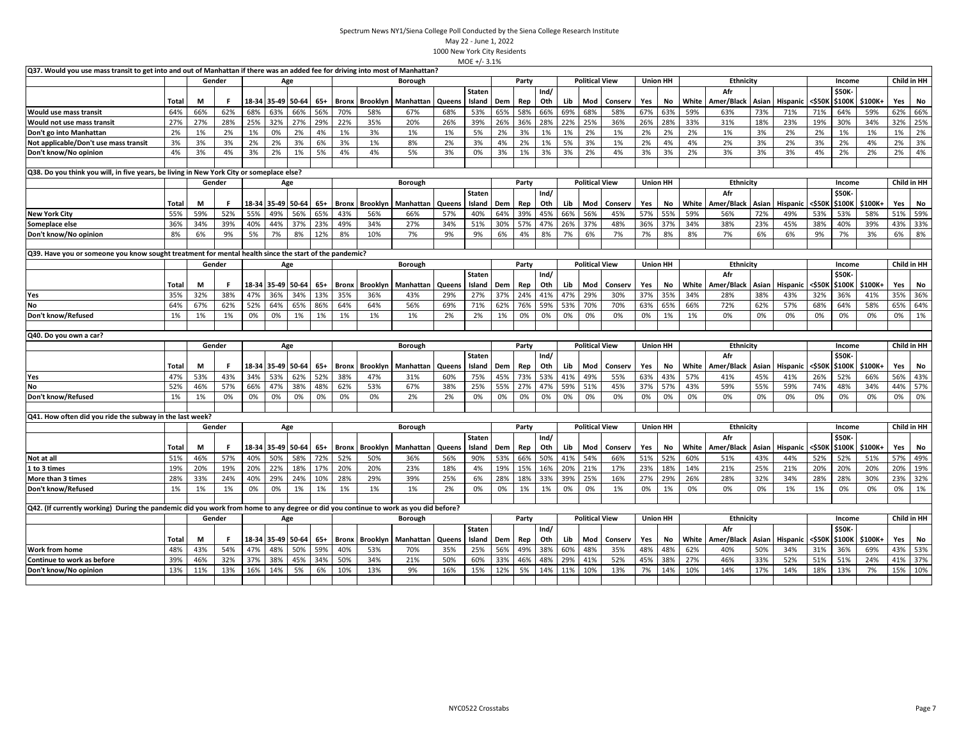| Q37. Would you use mass transit to get into and out of Manhattan if there was an added fee for driving into most of Manhattan?      |       |        |        |     |                   |                   |       |              |                 |                |        |               |     |       |      |     |                       |         |                 |                 |       |                  |       |                 |        |              |                |             |     |
|-------------------------------------------------------------------------------------------------------------------------------------|-------|--------|--------|-----|-------------------|-------------------|-------|--------------|-----------------|----------------|--------|---------------|-----|-------|------|-----|-----------------------|---------|-----------------|-----------------|-------|------------------|-------|-----------------|--------|--------------|----------------|-------------|-----|
|                                                                                                                                     |       | Gender |        |     |                   | Age               |       |              |                 | Borough        |        |               |     | Party |      |     | <b>Political View</b> |         | <b>Union HH</b> |                 |       | Ethnicity        |       |                 |        | Income       |                | Child in HH |     |
|                                                                                                                                     |       |        |        |     |                   |                   |       |              |                 |                |        | Staten        |     |       | Ind/ |     |                       |         |                 |                 |       | Afr              |       |                 |        | \$50K        |                |             |     |
|                                                                                                                                     | Total | М      | F.     |     |                   | 18-34 35-49 50-64 | $65+$ | <b>Bronx</b> | Brooklyn        | Manhattan      | Queens | Island        | Dem | Rep   | Oth  | Lib | Mod                   | Conserv | Yes             | No              | White | Amer/Black       | Asian | Hispanic        | <\$50K | \$100K       | \$100K+        | Yes         | No  |
| Would use mass transit                                                                                                              | 64%   | 66%    | 62%    | 68% | 63%               | 66%               | 56%   | 70%          | 58%             | 67%            | 68%    | 53%           | 65% | 58%   | 66%  | 69% | 68%                   | 58%     | 67%             | 63%             | 59%   | 63%              | 73%   | 71%             | 71%    | 64%          | 59%            | 62%         | 66% |
| Would not use mass transit                                                                                                          | 27%   | 27%    | 28%    | 25% | 32%               | 27%               | 29%   | 22%          | 35%             | 20%            | 26%    | 39%           | 26% | 36%   | 28%  | 22% | 25%                   | 36%     | 26%             | 28%             | 33%   | 31%              | 18%   | 23%             | 19%    | 30%          | 34%            | 32%         | 25% |
| Don't go into Manhattan                                                                                                             | 2%    | 1%     | 2%     | 1%  | 0%                | 2%                | 4%    | 1%           | 3%              | 1%             | 1%     | 5%            | 2%  | 3%    | 1%   | 1%  | 2%                    | 1%      | 2%              | 2%              | 2%    | 1%               | 3%    | 2%              | 2%     | 1%           | 1%             | 1%          | 2%  |
| Not applicable/Don't use mass transit                                                                                               | 3%    | 3%     | 3%     | 2%  | 2%                | 3%                | 6%    | 3%           | 1%              | 8%             | 2%     | 3%            | 4%  | 2%    | 1%   | 5%  | 3%                    | 1%      | 2%              | 4%              | 4%    | 2%               | 3%    | 2%              | 3%     | 2%           | 4%             | 2%          | 3%  |
| Don't know/No opinion                                                                                                               | 4%    | 3%     | 4%     | 3%  | 2%                | 1%                | 5%    | 4%           | 4%              | 5%             | 3%     | 0%            | 3%  | 1%    | 3%   | 3%  | 2%                    | 4%      | 3%              | 3%              | 2%    | 3%               | 3%    | 3%              | 4%     | 2%           | 2%             | 2%          | 4%  |
|                                                                                                                                     |       |        |        |     |                   |                   |       |              |                 |                |        |               |     |       |      |     |                       |         |                 |                 |       |                  |       |                 |        |              |                |             |     |
| Q38. Do you think you will, in five years, be living in New York City or someplace else?                                            |       |        |        |     |                   |                   |       |              |                 |                |        |               |     |       |      |     |                       |         |                 |                 |       |                  |       |                 |        |              |                |             |     |
|                                                                                                                                     |       | Gender |        |     |                   | Age               |       |              |                 | Borough        |        |               |     | Party |      |     | <b>Political View</b> |         |                 | <b>Union HH</b> |       | Ethnicity        |       |                 |        | Income       |                | Child in HH |     |
|                                                                                                                                     |       |        |        |     |                   |                   |       |              |                 |                |        | <b>Staten</b> |     |       | Ind/ |     |                       |         |                 |                 |       | Afr              |       |                 |        | \$50K        |                |             |     |
|                                                                                                                                     | Total | М      | -F     |     |                   | 18-34 35-49 50-64 | 65+   | <b>Bronx</b> | <b>Brooklyn</b> | Manhattan      | Queens | Island        | Dem | Rep   | Oth  | Lib | Mod                   | Conserv | Yes             | No              | White | Amer/Black       | Asian | Hispanic        | <\$50K | \$100K       | \$100K+        | Yes         | No  |
| <b>New York City</b>                                                                                                                | 55%   | 59%    | 52%    | 55% | 49%               | 56%               | 65%   | 43%          | 56%             | 66%            | 57%    | 40%           | 64% | 39%   | 45%  | 66% | 56%                   | 45%     | 57%             | 55%             | 59%   | 56%              | 72%   | 49%             | 53%    | 53%          | 58%            | 51%         | 59% |
| Someplace else                                                                                                                      | 36%   | 34%    | 39%    | 40% | 44%               | 37%               | 23%   | 49%          | 34%             | 27%            | 34%    | 51%           | 30% | 57%   | 47%  | 26% | 37%                   | 48%     | 36%             | 37%             | 34%   | 38%              | 23%   | 45%             | 38%    | 40%          | 39%            | 43%         | 33% |
| Don't know/No opinion                                                                                                               | 8%    | 6%     | 9%     | 5%  | 7%                | 8%                | 12%   | 8%           | 10%             | 7%             | 9%     | 9%            | 6%  | 4%    | 8%   | 7%  | 6%                    | 7%      | 7%              | 8%              | 8%    | 7%               | 6%    | 6%              | 9%     | 7%           | 3%             | 6%          | 8%  |
|                                                                                                                                     |       |        |        |     |                   |                   |       |              |                 |                |        |               |     |       |      |     |                       |         |                 |                 |       |                  |       |                 |        |              |                |             |     |
| (Q39. Have you or someone you know sought treatment for mental health since the start of the pandemic?                              |       |        |        |     |                   |                   |       |              |                 |                |        |               |     |       |      |     |                       |         |                 |                 |       |                  |       |                 |        |              |                |             |     |
|                                                                                                                                     |       | Gender |        |     |                   | Age               |       |              |                 | <b>Borough</b> |        |               |     | Party |      |     | <b>Political View</b> |         | <b>Union HH</b> |                 |       | <b>Ethnicity</b> |       |                 |        | Income       |                | Child in HH |     |
|                                                                                                                                     |       |        |        |     |                   |                   |       |              |                 |                |        | Staten        |     |       | Ind/ |     |                       |         |                 |                 |       | Afr              |       |                 |        | \$50K        |                |             |     |
|                                                                                                                                     | Total | М      | -F     |     |                   | 18-34 35-49 50-64 | $65+$ | <b>Bronx</b> | Brooklyn        | Manhattan      | Queens | Island        | Dem | Rep   | Oth  | Lib | Mod                   | Conserv | Yes             | No              |       | White Amer/Black | Asian | Hispanic        | <\$50K |              | \$100K \$100K+ | Yes         | No  |
| Yes                                                                                                                                 | 35%   | 32%    | 38%    | 47% | 36%               | 34%               | 13%   | 35%          | 36%             | 43%            | 29%    | 27%           | 37% | 24%   | 41%  | 47% | 29%                   | 30%     | 37%             | 35%             | 34%   | 28%              | 38%   | 43%             | 32%    | 36%          | 41%            | 35%         | 36% |
| No                                                                                                                                  | 64%   | 67%    | 62%    | 52% | 64%               | 65%               | 86%   | 64%          | 64%             | 56%            | 69%    | 71%           | 62% | 76%   | 59%  | 53% | 70%                   | 70%     | 63%             | 65%             | 66%   | 72%              | 62%   | 57%             | 68%    | 64%          | 58%            | 65%         | 64% |
| Don't know/Refused                                                                                                                  | 1%    | 1%     | 1%     | 0%  | 0%                | 1%                | 1%    | 1%           | 1%              | 1%             | 2%     | 2%            | 1%  | 0%    | 0%   | 0%  | 0%                    | 0%      | 0%              | 1%              | 1%    | 0%               | 0%    | 0%              | 0%     | 0%           | 0%             | 0%          | 1%  |
|                                                                                                                                     |       |        |        |     |                   |                   |       |              |                 |                |        |               |     |       |      |     |                       |         |                 |                 |       |                  |       |                 |        |              |                |             |     |
| Q40. Do you own a car?                                                                                                              |       |        |        |     |                   |                   |       |              |                 |                |        |               |     |       |      |     |                       |         |                 |                 |       |                  |       |                 |        |              |                |             |     |
|                                                                                                                                     |       |        | Gender |     |                   | Age               |       |              |                 | <b>Borough</b> |        |               |     | Party |      |     | <b>Political View</b> |         | <b>Union HH</b> |                 |       | Ethnicity        |       |                 |        | Income       |                | Child in HH |     |
|                                                                                                                                     |       |        |        |     |                   |                   |       |              |                 |                |        | <b>Staten</b> |     |       | Ind/ |     |                       |         |                 |                 |       | Afr              |       |                 |        | <b>\$50K</b> |                |             |     |
|                                                                                                                                     | Total | М      | F      |     |                   | 18-34 35-49 50-64 | 65+   | <b>Bronx</b> | <b>Brooklyn</b> | Manhattan      | Queens | Island        | Dem | Rep   | Oth  | Lib | Mod                   | Conserv | Yes             | No              | White | Amer/Black       | Asian | <b>Hispanic</b> | <\$50K | \$100K       | \$100K+        | Yes         | No  |
| Yes                                                                                                                                 | 47%   | 53%    | 43%    | 34% | 53%               | 62%               | 52%   | 38%          | 47%             | 31%            | 60%    | 75%           | 45% | 73%   | 53%  | 41% | 49%                   | 55%     | 63%             | 43%             | 57%   | 41%              | 45%   | 41%             | 26%    | 52%          | 66%            | 56%         | 43% |
| No                                                                                                                                  | 52%   | 46%    | 57%    | 66% | 47%               | 38%               | 48%   | 62%          | 53%             | 67%            | 38%    | 25%           | 55% | 27%   | 47%  | 59% | 51%                   | 45%     | 37%             | 57%             | 43%   | 59%              | 55%   | 59%             | 74%    | 48%          | 34%            | 44%         | 57% |
| Don't know/Refused                                                                                                                  | 1%    | 1%     | 0%     | 0%  | 0%                | 0%                | 0%    | 0%           | 0%              | 2%             | 2%     | 0%            | 0%  | 0%    | 0%   | 0%  | 0%                    | 0%      | 0%              | 0%              | 0%    | 0%               | 0%    | 0%              | 0%     | 0%           | 0%             | 0%          | 0%  |
|                                                                                                                                     |       |        |        |     |                   |                   |       |              |                 |                |        |               |     |       |      |     |                       |         |                 |                 |       |                  |       |                 |        |              |                |             |     |
| Q41. How often did you ride the subway in the last week?                                                                            |       |        |        |     |                   |                   |       |              |                 |                |        |               |     |       |      |     |                       |         |                 |                 |       |                  |       |                 |        |              |                |             |     |
|                                                                                                                                     |       |        | Gender |     |                   | Age               |       |              |                 | Borough        |        |               |     | Party |      |     | <b>Political View</b> |         | <b>Union HH</b> |                 |       | Ethnicity        |       |                 |        | Income       |                | Child in HH |     |
|                                                                                                                                     |       |        |        |     |                   |                   |       |              |                 |                |        | Staten        |     |       | Ind/ |     |                       |         |                 |                 |       | Afr              |       |                 |        | \$50K        |                |             |     |
|                                                                                                                                     | Total | М      | F.     |     |                   | 18-34 35-49 50-64 | $65+$ | <b>Bronx</b> | Brooklyn        | Manhattan      | Queens | Island        | Dem | Rep   | Oth  | Lib | Mod                   | Conserv | Yes             | No              | White | Amer/Black       | Asian | Hispanic        | <\$50K | \$100K       | \$100K+        | Yes         | No  |
| Not at all                                                                                                                          | 51%   | 46%    | 57%    | 40% | 50%               | 58%               | 72%   | 52%          | 50%             | 36%            | 56%    | 90%           | 53% | 66%   | 50%  | 41% | 54%                   | 66%     | 51%             | 52%             | 60%   | 51%              | 43%   | 44%             | 52%    | 52%          | 51%            | 57%         | 49% |
| 1 to 3 times                                                                                                                        | 19%   | 20%    | 19%    | 20% | 22%               | 18%               | 17%   | 20%          | 20%             | 23%            | 18%    | 4%            | 19% | 15%   | 16%  | 20% | 21%                   | 17%     | 23%             | 18%             | 14%   | 21%              | 25%   | 21%             | 20%    | 20%          | 20%            | 20%         | 19% |
| More than 3 times                                                                                                                   | 28%   | 33%    | 24%    | 40% | 29%               | 24%               | 10%   | 28%          | 29%             | 39%            | 25%    | 6%            | 28% | 18%   | 33%  | 39% | 25%                   | 16%     | 27%             | 29%             | 26%   | 28%              | 32%   | 34%             | 28%    | 28%          | 30%            | 23%         | 32% |
| Don't know/Refused                                                                                                                  | 1%    | 1%     | 1%     | 0%  | 0%                | 1%                | 1%    | 1%           | 1%              | 1%             | 2%     | 0%            | 0%  | 1%    | 1%   | 0%  | 0%                    | 1%      | 0%              | 1%              | 0%    | 0%               | 0%    | 1%              | 1%     | 0%           | 0%             | 0%          | 1%  |
|                                                                                                                                     |       |        |        |     |                   |                   |       |              |                 |                |        |               |     |       |      |     |                       |         |                 |                 |       |                  |       |                 |        |              |                |             |     |
| Q42. (If currently working) During the pandemic did you work from home to any degree or did you continue to work as you did before? |       |        |        |     |                   |                   |       |              |                 |                |        |               |     |       |      |     |                       |         |                 |                 |       |                  |       |                 |        |              |                |             |     |
|                                                                                                                                     |       |        | Gender |     |                   | Age               |       |              |                 | Borough        |        |               |     | Party |      |     | <b>Political View</b> |         | <b>Union HH</b> |                 |       | Ethnicity        |       |                 |        | Income       |                | Child in HH |     |
|                                                                                                                                     |       |        |        |     |                   |                   |       |              |                 |                |        | <b>Staten</b> |     |       | Ind/ |     |                       |         |                 |                 |       | Afr              |       |                 |        | <b>\$50K</b> |                |             |     |
|                                                                                                                                     |       |        |        |     |                   |                   |       |              |                 |                | Queens | Island        | Dem | Rep   | Oth  | Lib | Mod                   | Conserv | Yes             | No              |       | White Amer/Black | Asian | Hispanic        | <\$50K | \$100K       | \$100K+        | Yes         | No  |
|                                                                                                                                     | Total | М      | -F     |     | 18-34 35-49 50-64 |                   | $65+$ | <b>Bronx</b> | <b>Brooklyn</b> | Manhattan      |        |               |     |       |      |     |                       |         |                 |                 |       |                  |       |                 |        |              |                |             |     |
| <b>Work from home</b>                                                                                                               | 48%   | 43%    | 54%    | 47% | 48%               | 50%               | 59%   | 40%          | 53%             | 70%            | 35%    | 25%           | 56% | 49%   | 38%  | 60% | 48%                   | 35%     | 48%             | 48%             | 62%   | 40%              | 50%   | 34%             | 31%    | 36%          | 69%            | 43%         | 53% |
| Continue to work as before                                                                                                          | 39%   | 46%    | 32%    | 37% | 38%               | 45%               | 34%   | 50%          | 34%             | 21%            | 50%    | 60%           | 33% | 46%   | 48%  | 29% | 41%                   | 52%     | 45%             | 38%             | 27%   | 46%              | 33%   | 52%             | 51%    | 51%          | 24%            | 41%         | 37% |
| Don't know/No opinion                                                                                                               | 13%   | 11%    | 13%    | 16% | 14%               | 5%                | 6%    | 10%          | 13%             | 9%             | 16%    | 15%           | 12% | 5%    | 14%  | 11% | 10%                   | 13%     | 7%              | 14%             | 10%   | 14%              | 17%   | 14%             | 18%    | 13%          | 7%             | 15%         | 10% |